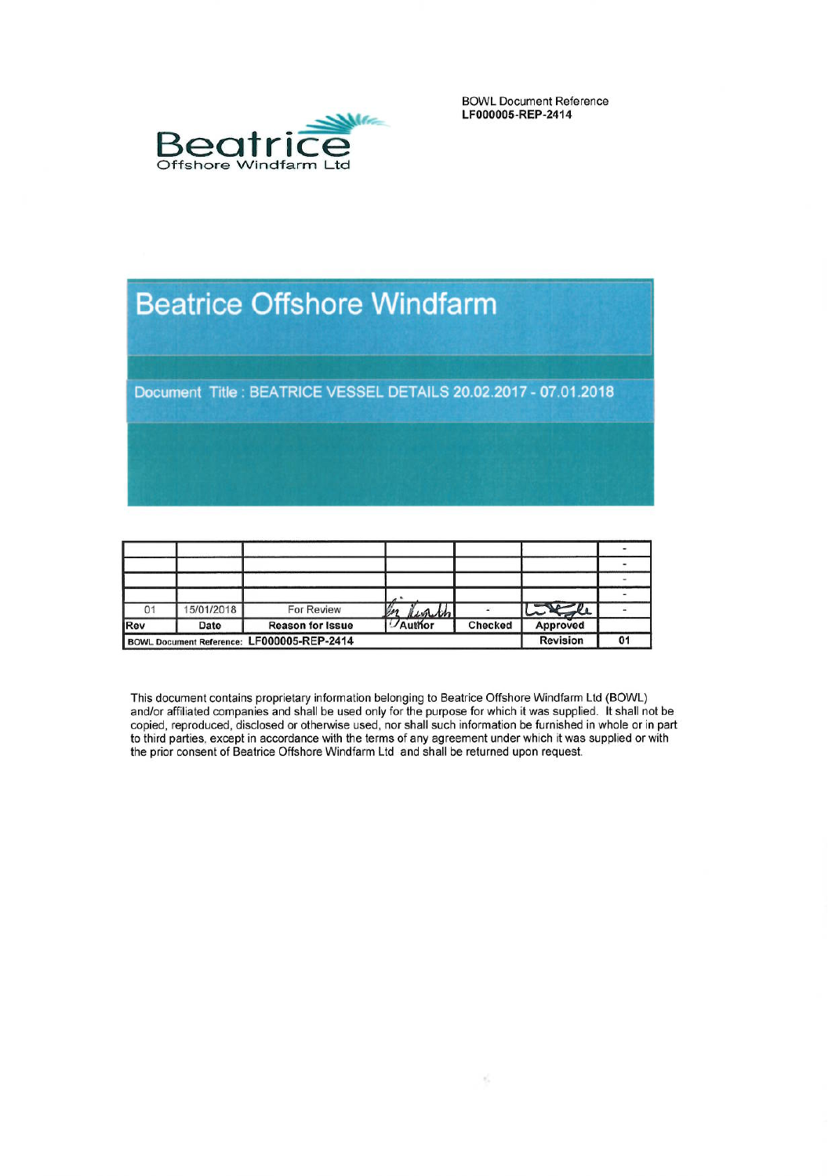

**BOWL Document Reference** LF000005-REP-2414

# **Beatrice Offshore Windfarm**

Document Title : BEATRICE VESSEL DETAILS 20.02.2017 - 07.01.2018

| 01                                         | 15/01/2018 | For Review              | Kenth<br>$\mathbb{Z}$ |         | Little          |    |
|--------------------------------------------|------------|-------------------------|-----------------------|---------|-----------------|----|
| Rev                                        | Date       | <b>Reason for Issue</b> | Author                | Checked | Approved        |    |
| BOWL Document Reference: LF000005-REP-2414 |            |                         |                       |         | <b>Revision</b> | 01 |

This document contains proprietary information belonging to Beatrice Offshore Windfarm Ltd (BOWL) and/or affiliated companies and shall be used only for the purpose for which it was supplied. It shall not be copied, reproduced, disclosed or otherwise used, nor shall such information be furnished in whole or in part to third parties, except in accordance with the terms of any agreement under which it was supplied or with<br>the prior consent of Beatrice Offshore Windfarm Ltd and shall be returned upon request.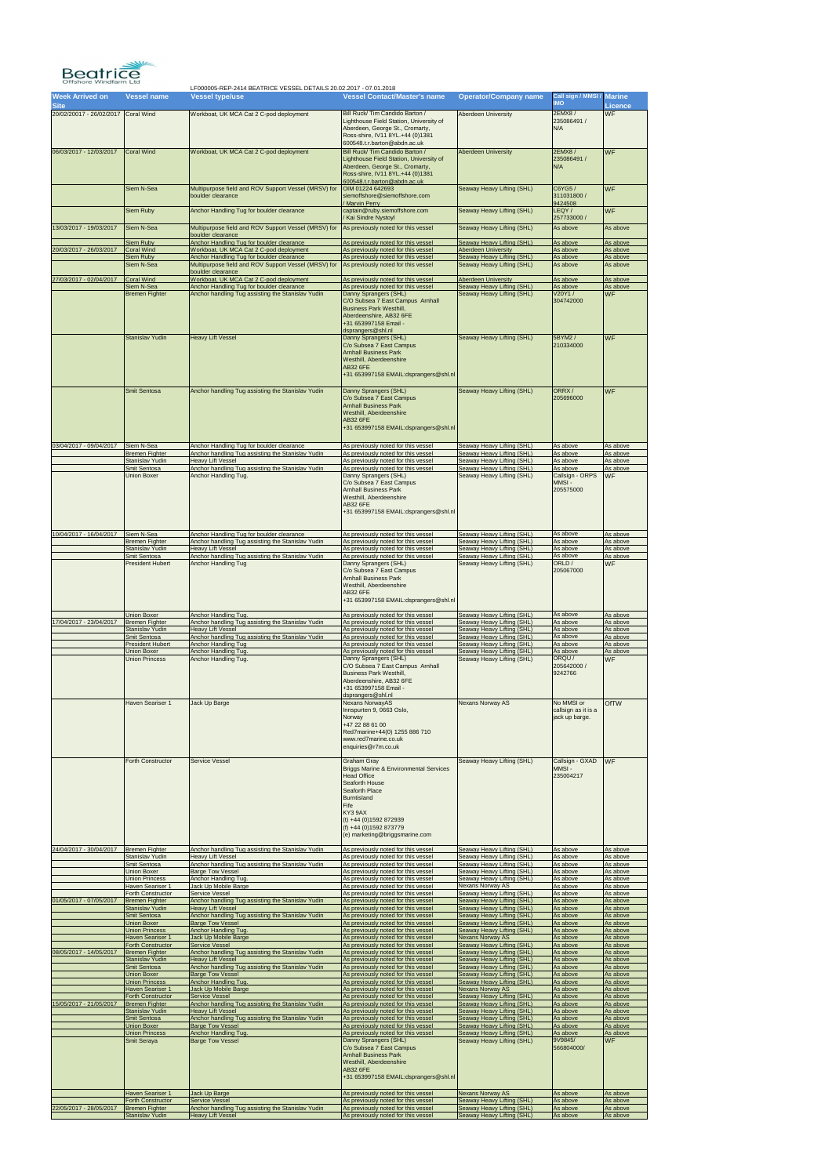| <b>Week Arrived on</b><br><b>Site</b> | <b>Vessel name</b>                                                    | <b>Vessel type/use</b>                                                                                                 | <b>Vessel Contact/Master's name</b>                                                                                                                                                                                                                               | <b>Operator/Company name</b>                                                           | Call sign / MMSI / Marine<br><b>OMI</b>             | <b>Licence</b>                   |
|---------------------------------------|-----------------------------------------------------------------------|------------------------------------------------------------------------------------------------------------------------|-------------------------------------------------------------------------------------------------------------------------------------------------------------------------------------------------------------------------------------------------------------------|----------------------------------------------------------------------------------------|-----------------------------------------------------|----------------------------------|
| 20/02/20017 - 26/02/2017              | <b>Coral Wind</b>                                                     | Workboat, UK MCA Cat 2 C-pod deployment                                                                                | Bill Ruck/ Tim Candido Barton /<br>Lighthouse Field Station, University of<br>Aberdeen, George St., Cromarty,<br>Ross-shire, IV11 8YL.+44 (0)1381<br>600548.t.r.barton@abdn.ac.uk                                                                                 | <b>Aberdeen University</b>                                                             | <b>2EMX8/</b><br>235086491 /<br>N/A                 | <b>WF</b>                        |
| 06/03/2017 - 12/03/2017               | <b>Coral Wind</b>                                                     | Workboat, UK MCA Cat 2 C-pod deployment                                                                                | Bill Ruck/ Tim Candido Barton /<br>Lighthouse Field Station, University of<br>Aberdeen, George St., Cromarty,<br>Ross-shire, IV11 8YL.+44 (0)1381<br>600548.t.r.barton@abdn.ac.uk                                                                                 | <b>Aberdeen University</b>                                                             | 2EMX8 /<br>235086491 /<br>N/A                       | <b>WF</b>                        |
|                                       | Siem N-Sea                                                            | Multipurpose field and ROV Support Vessel (MRSV) for<br>boulder clearance                                              | OIM 01224 642693<br>siemoffshore@siemoffshore.com                                                                                                                                                                                                                 | Seaway Heavy Lifting (SHL)                                                             | C6YG5 /<br>311031800 /                              | <b>WF</b>                        |
|                                       | Siem Ruby                                                             | Anchor Handling Tug for boulder clearance                                                                              | Marvin Perry<br>captain@ruby.siemoffshore.com<br>Kai Sindre Nystoyl                                                                                                                                                                                               | Seaway Heavy Lifting (SHL)                                                             | 9424508<br>LEQY/<br>257733000 /                     | <b>WF</b>                        |
| 13/03/2017 - 19/03/2017               | Siem N-Sea                                                            | Multipurpose field and ROV Support Vessel (MRSV) for<br>boulder clearance                                              | As previously noted for this vessel                                                                                                                                                                                                                               | Seaway Heavy Lifting (SHL)                                                             | As above                                            | As above                         |
| 20/03/2017 - 26/03/2017               | <b>Siem Ruby</b><br><b>Coral Wind</b>                                 | Anchor Handling Tug for boulder clearance<br>Workboat, UK MCA Cat 2 C-pod deployment                                   | As previously noted for this vessel<br>As previously noted for this vessel                                                                                                                                                                                        | Seaway Heavy Lifting (SHL)<br><b>Aberdeen University</b>                               | As above<br>As above                                | As above<br>As above             |
|                                       | <b>Siem Ruby</b><br>Siem N-Sea                                        | Anchor Handling Tug for boulder clearance<br>Multipurpose field and ROV Support Vessel (MRSV) for<br>boulder clearance | As previously noted for this vessel<br>As previously noted for this vessel                                                                                                                                                                                        | Seaway Heavy Lifting (SHL)<br>Seaway Heavy Lifting (SHL)                               | As above<br>As above                                | As above<br>As above             |
| 27/03/2017 - 02/04/2017               | <b>Coral Wind</b><br>Siem N-Sea                                       | Workboat, UK MCA Cat 2 C-pod deployment<br>Anchor Handling Tug for boulder clearance                                   | As previously noted for this vessel<br>As previously noted for this vessel                                                                                                                                                                                        | <b>Aberdeen University</b><br>Seaway Heavy Lifting (SHL)                               | As above<br>As above                                | As above<br>As above             |
|                                       | <b>Bremen Fighter</b>                                                 | Anchor handling Tug assisting the Stanislav Yudin                                                                      | Danny Sprangers (SHL)<br>C/O Subsea 7 East Campus Arnhall<br><b>Business Park Westhill,</b><br>Aberdeenshire, AB32 6FE<br>+31 653997158 Email -<br>dsprangers@shl.nl                                                                                              | Seaway Heavy Lifting (SHL)                                                             | V20Y1/<br>304742000                                 | <b>WF</b>                        |
|                                       | Stanislav Yudin                                                       | <b>Heavy Lift Vessel</b>                                                                                               | Danny Sprangers (SHL)<br>C/o Subsea 7 East Campus<br><b>Arnhall Business Park</b><br>Westhill, Aberdeenshire<br><b>AB32 6FE</b><br>+31 653997158 EMAIL:dsprangers@shl.nl                                                                                          | Seaway Heavy Lifting (SHL)                                                             | 5BYM2 /<br>210334000                                | <b>WF</b>                        |
| 03/04/2017 - 09/04/2017               | Smit Sentosa<br>Siem N-Sea                                            | Anchor handling Tug assisting the Stanislav Yudin<br>Anchor Handling Tug for boulder clearance                         | Danny Sprangers (SHL)<br>C/o Subsea 7 East Campus<br><b>Arnhall Business Park</b><br>Westhill, Aberdeenshire<br><b>AB32 6FE</b><br>+31 653997158 EMAIL:dsprangers@shl.nl<br>As previously noted for this vessel                                                   | Seaway Heavy Lifting (SHL)<br>Seaway Heavy Lifting (SHL)                               | ORRX/<br>205696000<br>As above                      | <b>WF</b><br>As above            |
|                                       | Bremen Fighter<br>Stanislav Yudin                                     | Anchor handling Tug assisting the Stanislav Yudin<br><b>Heavy Lift Vessel</b>                                          | As previously noted for this vessel<br>As previously noted for this vessel                                                                                                                                                                                        | Seaway Heavy Lifting (SHL)<br>Seaway Heavy Lifting (SHL)                               | As above<br>As above                                | As above<br>As above             |
|                                       | Smit Sentosa<br>Union Boxer                                           | Anchor handling Tug assisting the Stanislav Yudin<br>Anchor Handling Tug.                                              | As previously noted for this vessel<br>Danny Sprangers (SHL)<br>C/o Subsea 7 East Campus<br><b>Arnhall Business Park</b><br>Westhill, Aberdeenshire<br><b>AB32 6FE</b><br>+31 653997158 EMAIL:dsprangers@shl.nl                                                   | Seaway Heavy Lifting (SHL)<br>Seaway Heavy Lifting (SHL)                               | As above<br>Callsign - ORPS<br>MMSI-<br>205575000   | As above<br><b>WF</b>            |
| 10/04/2017 - 16/04/2017 Siem N-Sea    | <b>Bremen Fighter</b>                                                 | Anchor Handling Tug for boulder clearance<br>Anchor handling Tug assisting the Stanislav Yudin                         | As previously noted for this vessel<br>As previously noted for this vessel                                                                                                                                                                                        | Seaway Heavy Lifting (SHL)<br>Seaway Heavy Lifting (SHL)                               | As above<br>As above                                | As above<br>As above             |
|                                       | Stanislav Yudin<br>Smit Sentosa                                       | <b>Heavy Lift Vessel</b><br>Anchor handling Tug assisting the Stanislav Yudin                                          | As previously noted for this vessel<br>As previously noted for this vessel                                                                                                                                                                                        | Seaway Heavy Lifting (SHL)<br>Seaway Heavy Lifting (SHL)                               | As above<br>As above                                | As above<br>As above             |
|                                       | <b>President Hubert</b>                                               | <b>Anchor Handling Tug</b>                                                                                             | Danny Sprangers (SHL)<br>C/o Subsea 7 East Campus<br><b>Arnhall Business Park</b><br>Westhill, Aberdeenshire<br>AB32 6FE<br>+31 653997158 EMAIL:dsprangers@shl.nl                                                                                                 | Seaway Heavy Lifting (SHL)                                                             | ORLD/<br>205067000                                  | <b>WF</b>                        |
| 17/04/2017 - 23/04/2017               | Union Boxer<br><b>Bremen Fighter</b>                                  | Anchor Handling Tug.<br>Anchor handling Tug assisting the Stanislav Yudin                                              | As previously noted for this vessel<br>As previously noted for this vessel                                                                                                                                                                                        | Seaway Heavy Lifting (SHL)<br>Seaway Heavy Lifting (SHL)                               | As above<br>As above<br>As above                    | As above<br>As above             |
|                                       | Stanislav Yudin<br>Smit Sentosa<br><b>President Hubert</b>            | <b>Heavy Lift Vessel</b><br>Anchor handling Tug assisting the Stanislav Yudin<br>Anchor Handling Tug                   | As previously noted for this vessel<br>As previously noted for this vessel<br>As previously noted for this vessel                                                                                                                                                 | Seaway Heavy Lifting (SHL)<br>Seaway Heavy Lifting (SHL)<br>Seaway Heavy Lifting (SHL) | As above<br>As above                                | As above<br>As above<br>As above |
|                                       | Union Boxer<br>Union Princess                                         | Anchor Handling Tug.<br>Anchor Handling Tug.                                                                           | As previously noted for this vessel<br>Danny Sprangers (SHL)<br>C/O Subsea 7 East Campus Arnhall<br><b>Business Park Westhill,</b><br>Aberdeenshire, AB32 6FE<br>+31 653997158 Email -                                                                            | Seaway Heavy Lifting (SHL)<br>Seaway Heavy Lifting (SHL)                               | As above<br>ORQU/<br>205642000 /<br>9242766         | As above<br><b>WF</b>            |
|                                       |                                                                       |                                                                                                                        |                                                                                                                                                                                                                                                                   |                                                                                        |                                                     |                                  |
|                                       | Haven Seariser 1                                                      | Jack Up Barge                                                                                                          | dsprangers@shl.nl<br>Nexans NorwayAS<br>Innspurten 9, 0663 Oslo,<br>Norway<br>+47 22 88 61 00<br>Red7marine+44(0) 1255 886 710<br>www.red7marine.co.uk<br>enquiries@r7m.co.uk                                                                                     | <b>Nexans Norway AS</b>                                                                | No MMSI or<br>callsign as it is a<br>jack up barge. | <b>OfTW</b>                      |
|                                       | Forth Constructor                                                     | Service Vessel                                                                                                         | <b>Graham Gray</b><br><b>Briggs Marine &amp; Environmental Services</b><br><b>Head Office</b><br>Seaforth House<br>Seaforth Place<br><b>Burntisland</b><br>Fife<br>KY3 9AX<br>(t) +44 (0) 1592 872939<br>$(f) +44(0)1592873779$<br>(e) marketing@briggsmarine.com | Seaway Heavy Lifting (SHL)                                                             | Callsign - GXAD<br>MMSI-<br>235004217               | <b>WF</b>                        |
| 24/04/2017 - 30/04/2017               | <b>Bremen Fighter</b><br>Stanislav Yudin                              | Anchor handling Tug assisting the Stanislav Yudin<br><b>Heavy Lift Vessel</b>                                          | As previously noted for this vessel<br>As previously noted for this vessel                                                                                                                                                                                        | Seaway Heavy Lifting (SHL)<br>Seaway Heavy Lifting (SHL)                               | As above<br>As above                                | As above<br>As above             |
|                                       | Smit Sentosa<br>Union Boxer                                           | Anchor handling Tug assisting the Stanislav Yudin<br><b>Barge Tow Vessel</b>                                           | As previously noted for this vessel<br>As previously noted for this vessel                                                                                                                                                                                        | Seaway Heavy Lifting (SHL)<br>Seaway Heavy Lifting (SHL)                               | As above<br>As above                                | As above<br>As above             |
|                                       | Union Princess<br>Haven Seariser 1                                    | Anchor Handling Tug.<br>Jack Up Mobile Barge                                                                           | As previously noted for this vessel<br>As previously noted for this vessel                                                                                                                                                                                        | Seaway Heavy Lifting (SHL)<br><b>Nexans Norway AS</b>                                  | As above<br>As above                                | As above<br>As above             |
| 01/05/2017 - 07/05/2017               | Forth Constructor<br><b>Bremen Fighter</b><br><b>Stanislav Yudin</b>  | <b>Service Vessel</b><br>Anchor handling Tug assisting the Stanislav Yudin<br><b>Heavy Lift Vessel</b>                 | As previously noted for this vessel<br>As previously noted for this vessel<br>As previously noted for this vessel                                                                                                                                                 | Seaway Heavy Lifting (SHL)<br>Seaway Heavy Lifting (SHL)<br>Seaway Heavy Lifting (SHL) | As above<br>As above<br>As above                    | As above<br>As above<br>As above |
|                                       | Smit Sentosa<br>Union Boxer                                           | Anchor handling Tug assisting the Stanislav Yudin<br><b>Barge Tow Vessel</b>                                           | As previously noted for this vessel<br>As previously noted for this vessel                                                                                                                                                                                        | Seaway Heavy Lifting (SHL)<br>Seaway Heavy Lifting (SHL)                               | As above<br>As above                                | As above<br>As above             |
|                                       | <b>Union Princess</b><br><b>Haven Seariser 1</b>                      | Anchor Handling Tug.<br>Jack Up Mobile Barge                                                                           | As previously noted for this vessel<br>As previously noted for this vessel                                                                                                                                                                                        | Seaway Heavy Lifting (SHL)<br><b>Nexans Norway AS</b>                                  | As above<br>As above                                | As above<br>As above             |
| 08/05/2017 - 14/05/2017               | Forth Constructor<br><b>Bremen Fighter</b>                            | <b>Service Vessel</b><br>Anchor handling Tug assisting the Stanislav Yudin                                             | As previously noted for this vessel<br>As previously noted for this vessel                                                                                                                                                                                        | Seaway Heavy Lifting (SHL)<br>Seaway Heavy Lifting (SHL)                               | As above<br>As above                                | As above<br>As above             |
|                                       | <b>Stanislav Yudin</b><br>Smit Sentosa                                | <b>Heavy Lift Vessel</b><br>Anchor handling Tug assisting the Stanislav Yudin                                          | As previously noted for this vessel<br>As previously noted for this vessel                                                                                                                                                                                        | Seaway Heavy Lifting (SHL)<br>Seaway Heavy Lifting (SHL)                               | As above<br>As above                                | As above<br>As above             |
|                                       | Union Boxer<br><b>Union Princess</b><br>Haven Seariser 1              | <b>Barge Tow Vessel</b><br>Anchor Handling Tug.<br>Jack Up Mobile Barge                                                | As previously noted for this vessel<br>As previously noted for this vessel<br>As previously noted for this vessel                                                                                                                                                 | Seaway Heavy Lifting (SHL)<br>Seaway Heavy Lifting (SHL)<br><b>Nexans Norway AS</b>    | As above<br>As above<br>As above                    | As above<br>As above<br>As above |
| 15/05/2017 - 21/05/2017               | <b>Forth Constructor</b><br><b>Bremen Fighter</b>                     | Service Vessel<br>Anchor handling Tug assisting the Stanislav Yudin                                                    | As previously noted for this vessel<br>As previously noted for this vessel                                                                                                                                                                                        | Seaway Heavy Lifting (SHL)<br>Seaway Heavy Lifting (SHL)                               | As above<br>As above                                | As above<br>As above             |
|                                       | <b>Stanislav Yudin</b><br>Smit Sentosa                                | <b>Heavy Lift Vessel</b><br>Anchor handling Tug assisting the Stanislav Yudin                                          | As previously noted for this vessel<br>As previously noted for this vessel                                                                                                                                                                                        | Seaway Heavy Lifting (SHL)<br>Seaway Heavy Lifting (SHL)                               | As above<br>As above                                | As above<br>As above             |
|                                       | Union Boxer<br>Union Princess                                         | <b>Barge Tow Vessel</b><br>Anchor Handling Tug.                                                                        | As previously noted for this vessel<br>As previously noted for this vessel                                                                                                                                                                                        | Seaway Heavy Lifting (SHL)<br>Seaway Heavy Lifting (SHL)                               | As above<br>As above                                | As above<br>As above             |
|                                       | Smit Seraya                                                           | <b>Barge Tow Vessel</b>                                                                                                | Danny Sprangers (SHL)<br>C/o Subsea 7 East Campus<br><b>Arnhall Business Park</b><br>Westhill, Aberdeenshire<br><b>AB32 6FE</b><br>+31 653997158 EMAIL:dsprangers@shl.nl                                                                                          | Seaway Heavy Lifting (SHL)                                                             | 9V9845/<br>566804000/                               | <b>WF</b>                        |
| 22/05/2017 - 28/05/2017               | Haven Seariser 1<br><b>Forth Constructor</b><br><b>Bremen Fighter</b> | Jack Up Barge<br><b>Service Vessel</b><br>Anchor handling Tug assisting the Stanislav Yudin                            | As previously noted for this vessel<br>As previously noted for this vessel<br>As previously noted for this vessel                                                                                                                                                 | <b>Nexans Norway AS</b><br>Seaway Heavy Lifting (SHL)<br>Seaway Heavy Lifting (SHL)    | As above<br>As above<br>As above                    | As above<br>As above<br>As above |

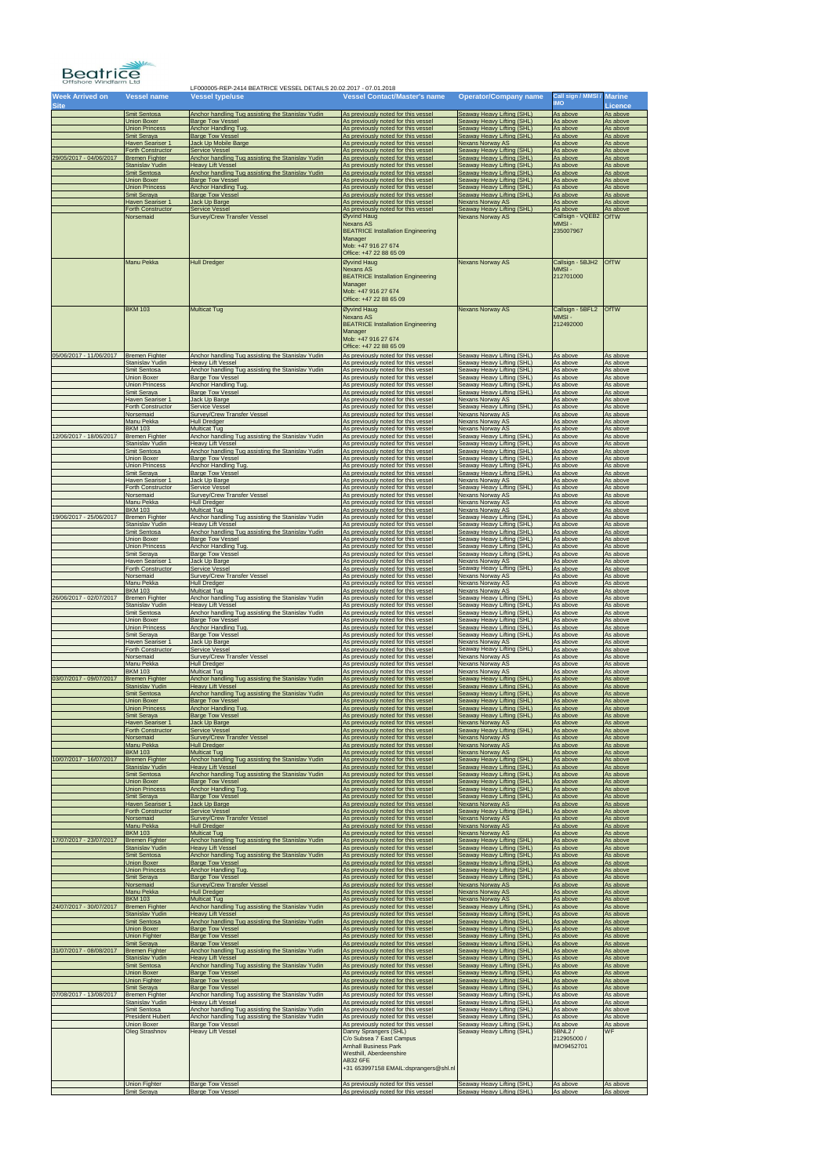

| Week Arrived on<br><b>Site</b> | Vessel name                          | <b>Vessel type/use</b>                              | Vessel Contact/Master's name                                                                                                                                                                                    | <b>Operator/Company name</b>                             | Call sign / MMSI /<br><b>IMO</b>                 | <b>Marine</b><br>Licence |
|--------------------------------|--------------------------------------|-----------------------------------------------------|-----------------------------------------------------------------------------------------------------------------------------------------------------------------------------------------------------------------|----------------------------------------------------------|--------------------------------------------------|--------------------------|
|                                | Smit Sentosa                         | Anchor handling Tug assisting the Stanislav Yudin   | As previously noted for this vessel                                                                                                                                                                             | Seaway Heavy Lifting (SHL)                               | As above                                         | As above                 |
|                                | <b>Union Boxer</b>                   | <b>Barge Tow Vessel</b>                             | As previously noted for this vessel                                                                                                                                                                             | Seaway Heavy Lifting (SHL)                               | As above                                         | As above                 |
|                                | <b>Union Princess</b>                | Anchor Handling Tug.                                | As previously noted for this vessel                                                                                                                                                                             | Seaway Heavy Lifting (SHL)                               | As above                                         | As above                 |
|                                | Smit Seraya                          | <b>Barge Tow Vessel</b>                             | As previously noted for this vessel                                                                                                                                                                             | Seaway Heavy Lifting (SHL)                               | As above                                         | As above                 |
|                                | Haven Seariser 1                     | Jack Up Mobile Barge                                | As previously noted for this vessel                                                                                                                                                                             | <b>Nexans Norway AS</b>                                  | As above                                         | As above                 |
| 29/05/2017 - 04/06/2017        | Forth Constructor                    | <b>Service Vessel</b>                               | As previously noted for this vessel                                                                                                                                                                             | Seaway Heavy Lifting (SHL)                               | As above                                         | As above                 |
|                                | <b>Bremen Fighter</b>                | Anchor handling Tug assisting the Stanislav Yudin   | As previously noted for this vessel                                                                                                                                                                             | Seaway Heavy Lifting (SHL)                               | As above                                         | As above                 |
|                                | <b>Stanislav Yudin</b>               | <b>Heavy Lift Vessel</b>                            | As previously noted for this vessel                                                                                                                                                                             | Seaway Heavy Lifting (SHL)                               | As above                                         | As above                 |
|                                | Smit Sentosa                         | Anchor handling Tug assisting the Stanislav Yudin   | As previously noted for this vessel                                                                                                                                                                             | Seaway Heavy Lifting (SHL)                               | As above                                         | As above                 |
|                                | <b>Union Boxer</b>                   | <b>Barge Tow Vessel</b>                             | As previously noted for this vessel                                                                                                                                                                             | Seaway Heavy Lifting (SHL)                               | As above                                         | As above                 |
|                                | <b>Union Princess</b>                | Anchor Handling Tug.                                | As previously noted for this vessel                                                                                                                                                                             | Seaway Heavy Lifting (SHL)                               | As above                                         | As above                 |
|                                | Smit Seraya                          | <b>Barge Tow Vessel</b>                             | As previously noted for this vessel                                                                                                                                                                             | Seaway Heavy Lifting (SHL)                               | As above                                         | As above                 |
|                                | Haven Seariser 1                     | Jack Up Barge                                       | As previously noted for this vessel                                                                                                                                                                             | <b>Nexans Norway AS</b>                                  | As above                                         | As above                 |
|                                | Forth Constructor                    | <b>Service Vessel</b>                               | As previously noted for this vessel                                                                                                                                                                             | Seaway Heavy Lifting (SHL)                               | As above                                         | As above                 |
|                                | Norsemaid                            | <b>Survey/Crew Transfer Vessel</b>                  | Øyvind Haug                                                                                                                                                                                                     | <b>Nexans Norway AS</b>                                  | Callsign - VQEB2                                 | <b>OfTW</b>              |
|                                |                                      |                                                     | <b>Nexans AS</b><br><b>BEATRICE Installation Engineering</b><br>Manager<br>Mob: +47 916 27 674<br>Office: +47 22 88 65 09                                                                                       |                                                          | MMSI-<br>235007967                               |                          |
|                                | Manu Pekka                           | <b>Hull Dredger</b>                                 | Øyvind Haug<br><b>Nexans AS</b><br><b>BEATRICE Installation Engineering</b><br>Manager<br>Mob: +47 916 27 674<br>Office: +47 22 88 65 09                                                                        | <b>Nexans Norway AS</b>                                  | Callsign - 5BJH2<br>MMSI-<br>212701000           | <b>OfTW</b>              |
|                                | <b>BKM 103</b>                       | <b>Multicat Tug</b>                                 | Øyvind Haug<br><b>Nexans AS</b><br><b>BEATRICE Installation Engineering</b><br>Manager<br>Mob: +47 916 27 674<br>Office: +47 22 88 65 09                                                                        | <b>Nexans Norway AS</b>                                  | Callsign - 5BFL2<br>MMSI-<br>212492000           | <b>OfTW</b>              |
| 05/06/2017 - 11/06/2017        | <b>Bremen Fighter</b>                | Anchor handling Tug assisting the Stanislav Yudin   | As previously noted for this vessel                                                                                                                                                                             | Seaway Heavy Lifting (SHL)                               | As above                                         | As above                 |
|                                | Stanislav Yudin                      | <b>Heavy Lift Vessel</b>                            | As previously noted for this vessel                                                                                                                                                                             | Seaway Heavy Lifting (SHL)                               | As above                                         | As above                 |
|                                | Smit Sentosa                         | Anchor handling Tug assisting the Stanislav Yudin   | As previously noted for this vessel                                                                                                                                                                             | Seaway Heavy Lifting (SHL)                               | As above                                         | As above                 |
|                                | <b>Union Boxer</b>                   | <b>Barge Tow Vessel</b>                             | As previously noted for this vessel                                                                                                                                                                             | Seaway Heavy Lifting (SHL)                               | As above                                         | As above                 |
|                                | <b>Union Princess</b>                | Anchor Handling Tug.                                | As previously noted for this vessel                                                                                                                                                                             | Seaway Heavy Lifting (SHL)                               | As above                                         | As above                 |
|                                | Smit Seraya                          | <b>Barge Tow Vessel</b>                             | As previously noted for this vessel                                                                                                                                                                             | Seaway Heavy Lifting (SHL)                               | As above                                         | As above                 |
|                                | Haven Seariser 1                     | Jack Up Barge                                       | As previously noted for this vessel                                                                                                                                                                             | <b>Nexans Norway AS</b>                                  | As above                                         | As above                 |
|                                | Forth Constructor                    | <b>Service Vessel</b>                               | As previously noted for this vessel                                                                                                                                                                             | Seaway Heavy Lifting (SHL)                               | As above                                         | As above                 |
|                                | Norsemaid                            | Survey/Crew Transfer Vessel                         | As previously noted for this vessel                                                                                                                                                                             | <b>Nexans Norway AS</b>                                  | As above                                         | As above                 |
|                                | Manu Pekka                           | <b>Hull Dredger</b>                                 | As previously noted for this vessel                                                                                                                                                                             | <b>Nexans Norway AS</b>                                  | As above                                         | As above                 |
| 12/06/2017 - 18/06/2017        | <b>BKM 103</b>                       | <b>Multicat Tug</b>                                 | As previously noted for this vessel                                                                                                                                                                             | <b>Nexans Norway AS</b>                                  | As above                                         | As above                 |
|                                | <b>Bremen Fighter</b>                | Anchor handling Tug assisting the Stanislav Yudin   | As previously noted for this vessel                                                                                                                                                                             | Seaway Heavy Lifting (SHL)                               | As above                                         | As above                 |
|                                | Stanislav Yudin                      | <b>Heavy Lift Vessel</b>                            | As previously noted for this vessel                                                                                                                                                                             | Seaway Heavy Lifting (SHL)                               | As above                                         | As above                 |
|                                | Smit Sentosa                         | Anchor handling Tug assisting the Stanislav Yudin   | As previously noted for this vessel                                                                                                                                                                             | Seaway Heavy Lifting (SHL)                               | As above                                         | As above                 |
|                                | <b>Union Boxer</b>                   | <b>Barge Tow Vessel</b>                             | As previously noted for this vessel                                                                                                                                                                             | Seaway Heavy Lifting (SHL)                               | As above                                         | As above                 |
|                                | <b>Union Princess</b>                | Anchor Handling Tug.                                | As previously noted for this vessel                                                                                                                                                                             | Seaway Heavy Lifting (SHL)                               | As above                                         | As above                 |
|                                | Smit Seraya                          | <b>Barge Tow Vessel</b>                             | As previously noted for this vessel                                                                                                                                                                             | Seaway Heavy Lifting (SHL)                               | As above                                         | As above                 |
|                                | Haven Seariser 1                     | Jack Up Barge                                       | As previously noted for this vessel                                                                                                                                                                             | <b>Nexans Norway AS</b>                                  | As above                                         | As above                 |
|                                | <b>Forth Constructor</b>             | Service Vessel                                      | As previously noted for this vessel                                                                                                                                                                             | Seaway Heavy Lifting (SHL)                               | As above                                         | As above                 |
|                                | Norsemaid                            | Survey/Crew Transfer Vessel                         | As previously noted for this vessel                                                                                                                                                                             | <b>Nexans Norway AS</b>                                  | As above                                         | As above                 |
|                                | Manu Pekka                           | <b>Hull Dredger</b>                                 | As previously noted for this vessel                                                                                                                                                                             | <b>Nexans Norway AS</b>                                  | As above                                         | As above                 |
|                                | <b>BKM 103</b>                       | <b>Multicat Tug</b>                                 | As previously noted for this vessel                                                                                                                                                                             | <b>Nexans Norway AS</b>                                  | As above                                         | As above                 |
| 19/06/2017 - 25/06/2017        | <b>Bremen Fighter</b>                | Anchor handling Tug assisting the Stanislav Yudin   | As previously noted for this vessel                                                                                                                                                                             | Seaway Heavy Lifting (SHL)                               | As above                                         | As above                 |
|                                | Stanislav Yudin                      | <b>Heavy Lift Vessel</b>                            | As previously noted for this vessel                                                                                                                                                                             | Seaway Heavy Lifting (SHL)                               | As above                                         | As above                 |
|                                | Smit Sentosa                         | Anchor handling Tug assisting the Stanislav Yudin   | As previously noted for this vessel                                                                                                                                                                             | Seaway Heavy Lifting (SHL)                               | As above                                         | As above                 |
|                                | Union Boxer                          | <b>Barge Tow Vessel</b>                             | As previously noted for this vessel                                                                                                                                                                             | Seaway Heavy Lifting (SHL)                               | As above                                         | As above                 |
|                                | <b>Union Princess</b>                | Anchor Handling Tug.                                | As previously noted for this vessel                                                                                                                                                                             | Seaway Heavy Lifting (SHL)                               | As above                                         | As above                 |
|                                | Smit Seraya                          | <b>Barge Tow Vessel</b>                             | As previously noted for this vessel                                                                                                                                                                             | Seaway Heavy Lifting (SHL)                               | As above                                         | As above                 |
|                                | Haven Seariser 1                     | Jack Up Barge                                       | As previously noted for this vessel                                                                                                                                                                             | <b>Nexans Norway AS</b>                                  | As above                                         | As above                 |
|                                | Forth Constructor                    | Service Vessel                                      | As previously noted for this vessel                                                                                                                                                                             | Seaway Heavy Lifting (SHL)                               | As above                                         | As above                 |
|                                | Norsemaid                            | Survey/Crew Transfer Vessel                         | As previously noted for this vessel                                                                                                                                                                             | <b>Nexans Norway AS</b>                                  | As above                                         | As above                 |
|                                | Manu Pekka                           | <b>Hull Dredger</b>                                 | As previously noted for this vessel                                                                                                                                                                             | <b>Nexans Norway AS</b>                                  | As above                                         | As above                 |
| 26/06/2017 - 02/07/2017        | <b>BKM 103</b>                       | <b>Multicat Tug</b>                                 | As previously noted for this vessel                                                                                                                                                                             | Nexans Norway AS                                         | As above                                         | As above                 |
|                                | <b>Bremen Fighter</b>                | Anchor handling Tug assisting the Stanislav Yudin   | As previously noted for this vessel                                                                                                                                                                             | Seaway Heavy Lifting (SHL)                               | As above                                         | As above                 |
|                                | Stanislav Yudin                      | <b>Heavy Lift Vessel</b>                            | As previously noted for this vessel                                                                                                                                                                             | Seaway Heavy Lifting (SHL)                               | As above                                         | As above                 |
|                                | Smit Sentosa                         | Anchor handling Tug assisting the Stanislav Yudin   | As previously noted for this vessel                                                                                                                                                                             | Seaway Heavy Lifting (SHL)                               | As above                                         | As above                 |
|                                | Union Boxer                          | <b>Barge Tow Vessel</b>                             | As previously noted for this vessel                                                                                                                                                                             | Seaway Heavy Lifting (SHL)                               | As above                                         | As above                 |
|                                | <b>Union Princess</b>                | Anchor Handling Tug.                                | As previously noted for this vessel                                                                                                                                                                             | Seaway Heavy Lifting (SHL)                               | As above                                         | As above                 |
|                                | Smit Seraya                          | <b>Barge Tow Vessel</b>                             | As previously noted for this vessel                                                                                                                                                                             | Seaway Heavy Lifting (SHL)                               | As above                                         | As above                 |
|                                | <b>Haven Seariser 1</b>              | Jack Up Barge                                       | As previously noted for this vessel                                                                                                                                                                             | <b>Nexans Norway AS</b>                                  | As above                                         | As above                 |
|                                | Forth Constructor                    | Service Vessel                                      | As previously noted for this vessel                                                                                                                                                                             | Seaway Heavy Lifting (SHL)                               | As above                                         | As above                 |
|                                | Norsemaid                            | Survey/Crew Transfer Vessel                         | As previously noted for this vessel                                                                                                                                                                             | <b>Nexans Norway AS</b>                                  | As above                                         | As above                 |
|                                | Manu Pekka                           | <b>Hull Dredger</b>                                 | As previously noted for this vessel                                                                                                                                                                             | <b>Nexans Norway AS</b>                                  | As above                                         | As above                 |
|                                | <b>BKM 103</b>                       | <b>Multicat Tug</b>                                 | As previously noted for this vessel                                                                                                                                                                             | <b>Nexans Norway AS</b>                                  | As above                                         | As above                 |
| 03/07/2017 - 09/07/2017        | <b>Bremen Fighter</b>                | Anchor handling Tug assisting the Stanislav Yudin   | As previously noted for this vessel                                                                                                                                                                             | Seaway Heavy Lifting (SHL)                               | As above                                         | As above                 |
|                                | Stanislav Yudin                      | <b>Heavy Lift Vessel</b>                            | As previously noted for this vessel                                                                                                                                                                             | Seaway Heavy Lifting (SHL)                               | As above                                         | As above                 |
|                                | Smit Sentosa                         | Anchor handling Tug assisting the Stanislav Yudin   | As previously noted for this vessel                                                                                                                                                                             | Seaway Heavy Lifting (SHL)                               | As above                                         | As above                 |
|                                | Union Boxer                          | <b>Barge Tow Vessel</b>                             | As previously noted for this vessel                                                                                                                                                                             | Seaway Heavy Lifting (SHL)                               | As above                                         | As above                 |
|                                | <b>Union Princess</b>                | Anchor Handling Tug.                                | As previously noted for this vessel                                                                                                                                                                             | Seaway Heavy Lifting (SHL)                               | As above                                         | As above                 |
|                                | Smit Seraya                          | <b>Barge Tow Vessel</b>                             | As previously noted for this vessel                                                                                                                                                                             | Seaway Heavy Lifting (SHL)                               | As above                                         | As above                 |
|                                | <b>Haven Seariser 1</b>              | Jack Up Barge                                       | As previously noted for this vessel                                                                                                                                                                             | <b>Nexans Norway AS</b>                                  | As above                                         | As above                 |
|                                | <b>Forth Constructor</b>             | <b>Service Vessel</b>                               | As previously noted for this vessel                                                                                                                                                                             | Seaway Heavy Lifting (SHL)                               | As above                                         | As above                 |
|                                | Norsemaid                            | <b>Survey/Crew Transfer Vessel</b>                  | As previously noted for this vessel                                                                                                                                                                             | <b>Nexans Norway AS</b>                                  | As above                                         | As above                 |
| 10/07/2017 - 16/07/2017        | Manu Pekka                           | <b>Hull Dredger</b>                                 | As previously noted for this vessel                                                                                                                                                                             | <b>Nexans Norway AS</b>                                  | As above                                         | As above                 |
|                                | <b>BKM 103</b>                       | <b>Multicat Tug</b>                                 | As previously noted for this vessel                                                                                                                                                                             | <b>Nexans Norway AS</b>                                  | As above                                         | As above                 |
|                                | <b>Bremen Fighter</b>                | Anchor handling Tug assisting the Stanislav Yudin   | As previously noted for this vessel                                                                                                                                                                             | Seaway Heavy Lifting (SHL)                               | As above                                         | As above                 |
|                                | <b>Stanislav Yudin</b>               | <b>Heavy Lift Vessel</b>                            | As previously noted for this vessel                                                                                                                                                                             | Seaway Heavy Lifting (SHL)                               | As above                                         | As above                 |
|                                | Smit Sentosa                         | Anchor handling Tug assisting the Stanislav Yudin   | As previously noted for this vessel                                                                                                                                                                             | Seaway Heavy Lifting (SHL)                               | As above                                         | As above                 |
|                                | <b>Union Boxer</b>                   | <b>Barge Tow Vessel</b>                             | As previously noted for this vessel                                                                                                                                                                             | Seaway Heavy Lifting (SHL)                               | As above                                         | As above                 |
|                                | <b>Union Princess</b>                | Anchor Handling Tug.                                | As previously noted for this vessel                                                                                                                                                                             | Seaway Heavy Lifting (SHL)                               | As above                                         | As above                 |
|                                | Smit Seraya                          | <b>Barge Tow Vessel</b>                             | As previously noted for this vessel                                                                                                                                                                             | Seaway Heavy Lifting (SHL)                               | As above                                         | As above                 |
|                                | Haven Seariser 1                     | Jack Up Barge                                       | As previously noted for this vessel                                                                                                                                                                             | <b>Nexans Norway AS</b>                                  | As above                                         | As above                 |
|                                | <b>Forth Constructor</b>             | <b>Service Vessel</b>                               | As previously noted for this vessel                                                                                                                                                                             | Seaway Heavy Lifting (SHL)                               | As above                                         | As above                 |
|                                | Norsemaid                            | <b>Survey/Crew Transfer Vessel</b>                  | As previously noted for this vessel                                                                                                                                                                             | <b>Nexans Norway AS</b>                                  | As above                                         | As above                 |
|                                | Manu Pekka                           | <b>Hull Dredger</b>                                 | As previously noted for this vessel                                                                                                                                                                             | <b>Nexans Norway AS</b>                                  | As above                                         | As above                 |
| 17/07/2017 - 23/07/2017        | <b>BKM 103</b>                       | <b>Multicat Tug</b>                                 | As previously noted for this vessel                                                                                                                                                                             | <b>Nexans Norway AS</b>                                  | As above                                         | As above                 |
|                                | <b>Bremen Fighter</b>                | Anchor handling Tug assisting the Stanislav Yudin   | As previously noted for this vessel                                                                                                                                                                             | Seaway Heavy Lifting (SHL)                               | As above                                         | As above                 |
|                                | Stanislav Yudin                      | <b>Heavy Lift Vessel</b>                            | As previously noted for this vessel                                                                                                                                                                             | Seaway Heavy Lifting (SHL)                               | As above                                         | As above                 |
|                                | Smit Sentosa                         | Anchor handling Tug assisting the Stanislav Yudin   | As previously noted for this vessel                                                                                                                                                                             | Seaway Heavy Lifting (SHL)                               | As above                                         | As above                 |
|                                | Union Boxer                          | <b>Barge Tow Vessel</b>                             | As previously noted for this vessel                                                                                                                                                                             | Seaway Heavy Lifting (SHL)                               | As above                                         | As above                 |
|                                | <b>Union Princess</b>                | Anchor Handling Tug.                                | As previously noted for this vessel                                                                                                                                                                             | Seaway Heavy Lifting (SHL)                               | As above                                         | As above                 |
|                                | Smit Seraya                          | <b>Barge Tow Vessel</b>                             | As previously noted for this vessel                                                                                                                                                                             | Seaway Heavy Lifting (SHL)                               | As above                                         | As above                 |
|                                | Norsemaid                            | <b>Survey/Crew Transfer Vessel</b>                  | As previously noted for this vessel                                                                                                                                                                             | <b>Nexans Norway AS</b>                                  | As above                                         | As above                 |
|                                | Manu Pekka                           | <b>Hull Dredger</b>                                 | As previously noted for this vessel                                                                                                                                                                             | <b>Nexans Norway AS</b>                                  | As above                                         | As above                 |
|                                | <b>BKM 103</b>                       | <b>Multicat Tug</b>                                 | As previously noted for this vessel                                                                                                                                                                             | <b>Nexans Norway AS</b>                                  | As above                                         | As above                 |
| 24/07/2017 - 30/07/2017        | <b>Bremen Fighter</b>                | Anchor handling Tug assisting the Stanislav Yudin   | As previously noted for this vessel                                                                                                                                                                             | Seaway Heavy Lifting (SHL)                               | As above                                         | As above                 |
|                                | Stanislav Yudin                      | <b>Heavy Lift Vessel</b>                            | As previously noted for this vessel                                                                                                                                                                             | Seaway Heavy Lifting (SHL)                               | As above                                         | As above                 |
|                                | Smit Sentosa                         | Anchor handling Tug assisting the Stanislav Yudin   | As previously noted for this vessel                                                                                                                                                                             | Seaway Heavy Lifting (SHL)                               | As above                                         | As above                 |
|                                | <b>Union Boxer</b>                   | <b>Barge Tow Vessel</b>                             | As previously noted for this vessel                                                                                                                                                                             | Seaway Heavy Lifting (SHL)                               | As above                                         | As above                 |
|                                | <b>Union Fighter</b>                 | <b>Barge Tow Vessel</b>                             | As previously noted for this vessel                                                                                                                                                                             | Seaway Heavy Lifting (SHL)                               | As above                                         | As above                 |
| 31/07/2017 - 08/08/2017        | Smit Seraya                          | <b>Barge Tow Vessel</b>                             | As previously noted for this vessel                                                                                                                                                                             | Seaway Heavy Lifting (SHL)                               | As above                                         | As above                 |
|                                | <b>Bremen Fighter</b>                | Anchor handling Tug assisting the Stanislav Yudin   | As previously noted for this vessel                                                                                                                                                                             | Seaway Heavy Lifting (SHL)                               | As above                                         | As above                 |
|                                | Stanislav Yudin                      | <b>Heavy Lift Vessel</b>                            | As previously noted for this vessel                                                                                                                                                                             | Seaway Heavy Lifting (SHL)                               | As above                                         | As above                 |
|                                | Smit Sentosa                         | Anchor handling Tug assisting the Stanislav Yudin   | As previously noted for this vessel                                                                                                                                                                             | Seaway Heavy Lifting (SHL)                               | As above                                         | As above                 |
|                                | <b>Union Boxer</b>                   | <b>Barge Tow Vessel</b>                             | As previously noted for this vessel                                                                                                                                                                             | Seaway Heavy Lifting (SHL)                               | As above                                         | As above                 |
|                                | <b>Union Fighter</b>                 | <b>Barge Tow Vessel</b>                             | As previously noted for this vessel                                                                                                                                                                             | Seaway Heavy Lifting (SHL)                               | As above                                         | As above                 |
|                                | Smit Seraya                          | <b>Barge Tow Vessel</b>                             | As previously noted for this vessel                                                                                                                                                                             | Seaway Heavy Lifting (SHL)                               | As above                                         | As above                 |
| 07/08/2017 - 13/08/2017        | <b>Bremen Fighter</b>                | Anchor handling Tug assisting the Stanislav Yudin   | As previously noted for this vessel                                                                                                                                                                             | Seaway Heavy Lifting (SHL)                               | As above                                         | As above                 |
|                                | Stanislav Yudin                      | <b>Heavy Lift Vessel</b>                            | As previously noted for this vessel                                                                                                                                                                             | Seaway Heavy Lifting (SHL)                               | As above                                         | As above                 |
|                                | Smit Sentosa                         | Anchor handling Tug assisting the Stanislav Yudin   | As previously noted for this vessel                                                                                                                                                                             | Seaway Heavy Lifting (SHL)                               | As above                                         | As above                 |
|                                | <b>President Hubert</b>              | Anchor handling Tug assisting the Stanislav Yudin   | As previously noted for this vessel                                                                                                                                                                             | Seaway Heavy Lifting (SHL)                               | As above                                         | As above                 |
|                                | <b>Union Boxer</b><br>Oleg Strashnov | <b>Barge Tow Vessel</b><br><b>Heavy Lift Vessel</b> | As previously noted for this vessel<br>Danny Sprangers (SHL)<br>C/o Subsea 7 East Campus<br><b>Arnhall Business Park</b><br>Westhill, Aberdeenshire<br><b>AB32 6FE</b><br>+31 653997158 EMAIL:dsprangers@shl.nl | Seaway Heavy Lifting (SHL)<br>Seaway Heavy Lifting (SHL) | As above<br>5BNL2 /<br>212905000 /<br>IMO9452701 | As above<br><b>WF</b>    |
|                                | <b>Union Fighter</b>                 | <b>Barge Tow Vessel</b>                             | As previously noted for this vessel                                                                                                                                                                             | Seaway Heavy Lifting (SHL)                               | As above                                         | As above                 |
|                                | Smit Seraya                          | <b>Barge Tow Vessel</b>                             | As previously noted for this vessel                                                                                                                                                                             | Seaway Heavy Lifting (SHL)                               | As above                                         | As above                 |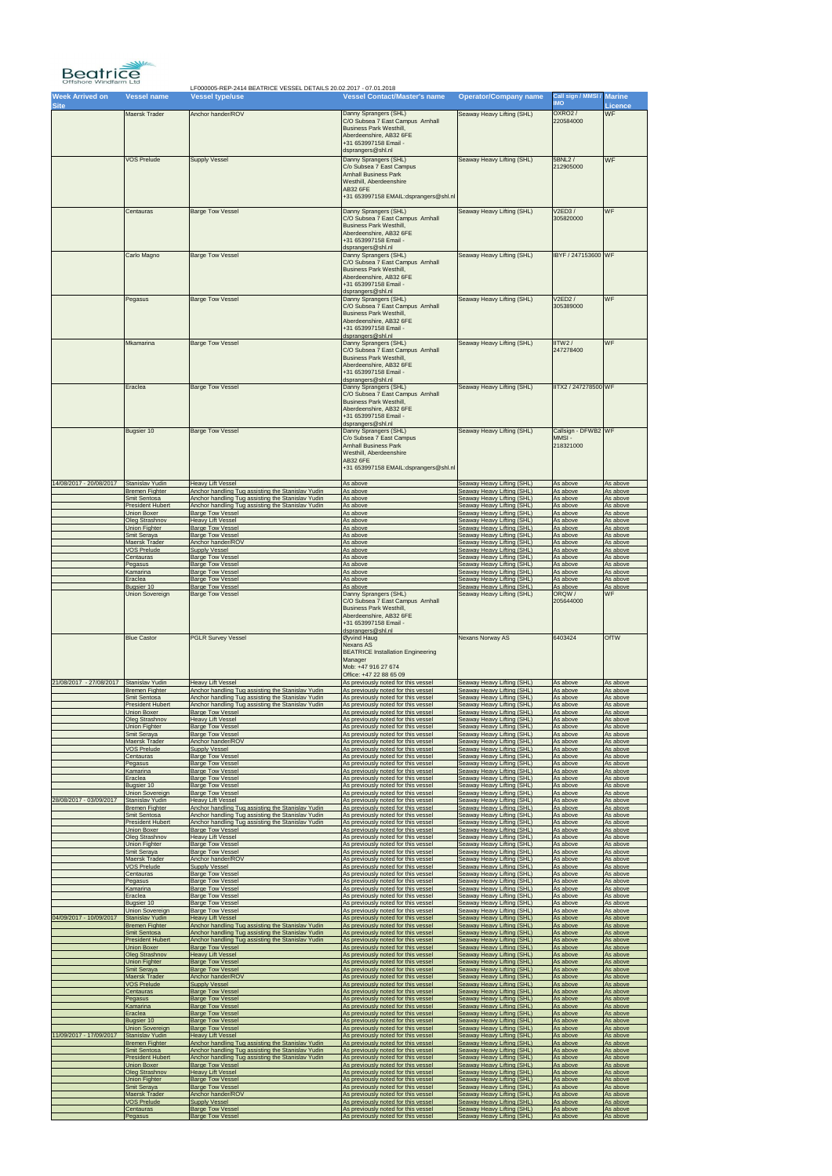

| <b>Week Arrived on</b><br><b>Site</b> | <b>Vessel name</b>      | <b>Vessel type/use</b>                            | <b>Vessel Contact/Master's name</b>                                                                                                                                                           | <b>Operator/Company name</b> | Call sign / MMSI / Marine<br><b>OMI</b>   | <b>Licence</b> |
|---------------------------------------|-------------------------|---------------------------------------------------|-----------------------------------------------------------------------------------------------------------------------------------------------------------------------------------------------|------------------------------|-------------------------------------------|----------------|
|                                       | <b>Maersk Trader</b>    | Anchor hander/ROV                                 | Danny Sprangers (SHL)<br>C/O Subsea 7 East Campus Arnhall<br><b>Business Park Westhill,</b><br>Aberdeenshire, AB32 6FE<br>+31 653997158 Email -                                               | Seaway Heavy Lifting (SHL)   | <b>OXRO2/</b><br>220584000                | <b>WF</b>      |
|                                       | <b>VOS Prelude</b>      | <b>Supply Vessel</b>                              | dsprangers@shl.nl<br>Danny Sprangers (SHL)<br>C/o Subsea 7 East Campus<br><b>Arnhall Business Park</b><br>Westhill, Aberdeenshire<br><b>AB32 6FE</b><br>+31 653997158 EMAIL:dsprangers@shl.nl | Seaway Heavy Lifting (SHL)   | 5BNL2 /<br>212905000                      | <b>WF</b>      |
|                                       | Centauras               | <b>Barge Tow Vessel</b>                           | Danny Sprangers (SHL)<br>C/O Subsea 7 East Campus Arnhall<br><b>Business Park Westhill,</b><br>Aberdeenshire, AB32 6FE<br>+31 653997158 Email -<br>dsprangers@shl.nl                          | Seaway Heavy Lifting (SHL)   | V2ED3/<br>305820000                       | WF             |
|                                       | Carlo Magno             | <b>Barge Tow Vessel</b>                           | Danny Sprangers (SHL)<br>C/O Subsea 7 East Campus Arnhall<br><b>Business Park Westhill,</b><br>Aberdeenshire, AB32 6FE<br>+31 653997158 Email -<br>dsprangers@shl.nl                          | Seaway Heavy Lifting (SHL)   | IBYF / 247153600 WF                       |                |
|                                       | Pegasus                 | <b>Barge Tow Vessel</b>                           | Danny Sprangers (SHL)<br>C/O Subsea 7 East Campus Arnhall<br><b>Business Park Westhill,</b><br>Aberdeenshire, AB32 6FE<br>+31 653997158 Email -<br>dsprangers@shl.nl                          | Seaway Heavy Lifting (SHL)   | V2ED2/<br>305389000                       | WF             |
|                                       | <b>Mkamarina</b>        | <b>Barge Tow Vessel</b>                           | Danny Sprangers (SHL)<br>C/O Subsea 7 East Campus Arnhall<br><b>Business Park Westhill,</b><br>Aberdeenshire, AB32 6FE<br>+31 653997158 Email -<br>dsprangers@shl.nl                          | Seaway Heavy Lifting (SHL)   | IITW2/<br>247278400                       | <b>WF</b>      |
|                                       | Eraclea                 | <b>Barge Tow Vessel</b>                           | Danny Sprangers (SHL)<br>C/O Subsea 7 East Campus Arnhall<br><b>Business Park Westhill,</b><br>Aberdeenshire, AB32 6FE<br>+31 653997158 Email -<br>dsprangers@shl.nl                          | Seaway Heavy Lifting (SHL)   | IITX2 / 247278500 WF                      |                |
|                                       | Bugsier 10              | <b>Barge Tow Vessel</b>                           | Danny Sprangers (SHL)<br>C/o Subsea 7 East Campus<br><b>Arnhall Business Park</b><br>Westhill, Aberdeenshire<br><b>AB32 6FE</b><br>+31 653997158 EMAIL:dsprangers@shl.nl                      | Seaway Heavy Lifting (SHL)   | Callsign - DFWB2 WF<br>MMSI-<br>218321000 |                |
| 14/08/2017 - 20/08/2017               | Stanislav Yudin         | <b>Heavy Lift Vessel</b>                          | As above                                                                                                                                                                                      | Seaway Heavy Lifting (SHL)   | As above                                  | As above       |
|                                       | <b>Bremen Fighter</b>   | Anchor handling Tug assisting the Stanislav Yudin | As above                                                                                                                                                                                      | Seaway Heavy Lifting (SHL)   | As above                                  | As above       |
|                                       | Smit Sentosa            | Anchor handling Tug assisting the Stanislav Yudin | As above                                                                                                                                                                                      | Seaway Heavy Lifting (SHL)   | As above                                  | As above       |
|                                       | <b>President Hubert</b> | Anchor handling Tug assisting the Stanislav Yudin | As above                                                                                                                                                                                      | Seaway Heavy Lifting (SHL)   | As above                                  | As above       |
|                                       | <b>Union Boxer</b>      | <b>Barge Tow Vessel</b>                           | As above                                                                                                                                                                                      | Seaway Heavy Lifting (SHL)   | As above                                  | As above       |
|                                       | Oleg Strashnov          | <b>Heavy Lift Vessel</b>                          | As above                                                                                                                                                                                      | Seaway Heavy Lifting (SHL)   | As above                                  | As above       |
|                                       | Union Fighter           | <b>Barge Tow Vessel</b>                           | As above                                                                                                                                                                                      | Seaway Heavy Lifting (SHL)   | As above                                  | As above       |
|                                       | Smit Seraya             | Barge Tow Vessel                                  | As above                                                                                                                                                                                      | Seaway Heavy Lifting (SHL)   | As above                                  | As above       |
|                                       | Maersk Trader           | Anchor hander/ROV                                 | As above                                                                                                                                                                                      | Seaway Heavy Lifting (SHL)   | As above                                  | As above       |
|                                       | <b>VOS Prelude</b>      | <b>Supply Vessel</b>                              | As above                                                                                                                                                                                      | Seaway Heavy Lifting (SHL)   | As above                                  | As above       |
|                                       | Centauras               | <b>Barge Tow Vessel</b>                           | As above                                                                                                                                                                                      | Seaway Heavy Lifting (SHL)   | As above                                  | As above       |
|                                       | Pegasus                 | <b>Barge Tow Vessel</b>                           | As above                                                                                                                                                                                      | Seaway Heavy Lifting (SHL)   | As above                                  | As above       |
|                                       | Kamarina                | <b>Barge Tow Vessel</b>                           | As above                                                                                                                                                                                      | Seaway Heavy Lifting (SHL)   | As above                                  | As above       |
|                                       | Eraclea                 | <b>Barge Tow Vessel</b>                           | As above                                                                                                                                                                                      | Seaway Heavy Lifting (SHL)   | As above                                  | As above       |
|                                       | Bugsier 10              | <b>Barge Tow Vessel</b>                           | As above                                                                                                                                                                                      | Seaway Heavy Lifting (SHL)   | As above                                  | As above       |
|                                       | <b>Union Sovereign</b>  | <b>Barge Tow Vessel</b>                           | Danny Sprangers (SHL)<br>C/O Subsea 7 East Campus Arnhall<br><b>Business Park Westhill,</b><br>Aberdeenshire, AB32 6FE<br>+31 653997158 Email -<br>dsprangers@shl.nl                          | Seaway Heavy Lifting (SHL)   | ORQW/<br>205644000                        | WF             |
|                                       | <b>Blue Castor</b>      | <b>PGLR Survey Vessel</b>                         | Øyvind Haug<br>Nexans AS<br><b>BEATRICE Installation Engineering</b><br>Manager<br>Mob: +47 916 27 674<br>Office: +47 22 88 65 09                                                             | <b>Nexans Norway AS</b>      | 6403424                                   | <b>OfTW</b>    |
| 21/08/2017 - 27/08/2017               | Stanislav Yudin         | <b>Heavy Lift Vessel</b>                          | As previously noted for this vessel                                                                                                                                                           | Seaway Heavy Lifting (SHL)   | As above                                  | As above       |
|                                       | <b>Bremen Fighter</b>   | Anchor handling Tug assisting the Stanislav Yudin | As previously noted for this vessel                                                                                                                                                           | Seaway Heavy Lifting (SHL)   | As above                                  | As above       |
|                                       | Smit Sentosa            | Anchor handling Tug assisting the Stanislav Yudin | As previously noted for this vessel                                                                                                                                                           | Seaway Heavy Lifting (SHL)   | As above                                  | As above       |
|                                       | <b>President Hubert</b> | Anchor handling Tug assisting the Stanislav Yudin | As previously noted for this vessel                                                                                                                                                           | Seaway Heavy Lifting (SHL)   | As above                                  | As above       |
|                                       | Union Boxer             | <b>Barge Tow Vessel</b>                           | As previously noted for this vessel                                                                                                                                                           | Seaway Heavy Lifting (SHL)   | As above                                  | As above       |
|                                       | Oleg Strashnov          | <b>Heavy Lift Vessel</b>                          | As previously noted for this vessel                                                                                                                                                           | Seaway Heavy Lifting (SHL)   | As above                                  | As above       |
|                                       | Union Fighter           | <b>Barge Tow Vessel</b>                           | As previously noted for this vessel                                                                                                                                                           | Seaway Heavy Lifting (SHL)   | As above                                  | As above       |
|                                       | Smit Seraya             | <b>Barge Tow Vessel</b>                           | As previously noted for this vessel                                                                                                                                                           | Seaway Heavy Lifting (SHL)   | As above                                  | As above       |
|                                       | Maersk Trader           | Anchor hander/ROV                                 | As previously noted for this vessel                                                                                                                                                           | Seaway Heavy Lifting (SHL)   | As above                                  | As above       |
|                                       | VOS Prelude             | <b>Supply Vessel</b>                              | As previously noted for this vessel                                                                                                                                                           | Seaway Heavy Lifting (SHL)   | As above                                  | As above       |
|                                       | Centauras               | <b>Barge Tow Vessel</b>                           | As previously noted for this vessel                                                                                                                                                           | Seaway Heavy Lifting (SHL)   | As above                                  | As above       |
|                                       | Pegasus                 | <b>Barge Tow Vessel</b>                           | As previously noted for this vessel                                                                                                                                                           | Seaway Heavy Lifting (SHL)   | As above                                  | As above       |
|                                       | Kamarina                | <b>Barge Tow Vessel</b>                           | As previously noted for this vessel                                                                                                                                                           | Seaway Heavy Lifting (SHL)   | As above                                  | As above       |
|                                       | Eraclea                 | <b>Barge Tow Vessel</b>                           | As previously noted for this vessel                                                                                                                                                           | Seaway Heavy Lifting (SHL)   | As above                                  | As above       |
|                                       | Bugsier 10              | <b>Barge Tow Vessel</b>                           | As previously noted for this vessel                                                                                                                                                           | Seaway Heavy Lifting (SHL)   | As above                                  | As above       |
| 28/08/2017 - 03/09/2017               | <b>Union Sovereign</b>  | <b>Barge Tow Vessel</b>                           | As previously noted for this vessel                                                                                                                                                           | Seaway Heavy Lifting (SHL)   | As above                                  | As above       |
|                                       | Stanislav Yudin         | <b>Heavy Lift Vessel</b>                          | As previously noted for this vessel                                                                                                                                                           | Seaway Heavy Lifting (SHL)   | As above                                  | As above       |
|                                       | <b>Bremen Fighter</b>   | Anchor handling Tug assisting the Stanislav Yudin | As previously noted for this vessel                                                                                                                                                           | Seaway Heavy Lifting (SHL)   | As above                                  | As above       |
|                                       | Smit Sentosa            | Anchor handling Tug assisting the Stanislav Yudin | As previously noted for this vessel                                                                                                                                                           | Seaway Heavy Lifting (SHL)   | As above                                  | As above       |
|                                       | <b>President Hubert</b> | Anchor handling Tug assisting the Stanislav Yudin | As previously noted for this vessel                                                                                                                                                           | Seaway Heavy Lifting (SHL)   | As above                                  | As above       |
|                                       | Union Boxer             | <b>Barge Tow Vessel</b>                           | As previously noted for this vessel                                                                                                                                                           | Seaway Heavy Lifting (SHL)   | As above                                  | As above       |
|                                       | Oleg Strashnov          | <b>Heavy Lift Vessel</b>                          | As previously noted for this vessel                                                                                                                                                           | Seaway Heavy Lifting (SHL)   | As above                                  | As above       |
|                                       | <b>Union Fighter</b>    | <b>Barge Tow Vessel</b>                           | As previously noted for this vessel                                                                                                                                                           | Seaway Heavy Lifting (SHL)   | As above                                  | As above       |
|                                       | Smit Seraya             | <b>Barge Tow Vessel</b>                           | As previously noted for this vessel                                                                                                                                                           | Seaway Heavy Lifting (SHL)   | As above                                  | As above       |
|                                       | Maersk Trader           | Anchor hander/ROV                                 | As previously noted for this vessel                                                                                                                                                           | Seaway Heavy Lifting (SHL)   | As above                                  | As above       |
|                                       | VOS Prelude             | <b>Supply Vessel</b>                              | As previously noted for this vessel                                                                                                                                                           | Seaway Heavy Lifting (SHL)   | As above                                  | As above       |
|                                       | Centauras               | <b>Barge Tow Vessel</b>                           | As previously noted for this vessel                                                                                                                                                           | Seaway Heavy Lifting (SHL)   | As above                                  | As above       |
|                                       | Pegasus                 | <b>Barge Tow Vessel</b>                           | As previously noted for this vessel                                                                                                                                                           | Seaway Heavy Lifting (SHL)   | As above                                  | As above       |
|                                       | Kamarina                | <b>Barge Tow Vessel</b>                           | As previously noted for this vessel                                                                                                                                                           | Seaway Heavy Lifting (SHL)   | As above                                  | As above       |
|                                       | Eraclea                 | <b>Barge Tow Vessel</b>                           | As previously noted for this vessel                                                                                                                                                           | Seaway Heavy Lifting (SHL)   | As above                                  | As above       |
|                                       | Bugsier 10              | <b>Barge Tow Vessel</b>                           | As previously noted for this vessel                                                                                                                                                           | Seaway Heavy Lifting (SHL)   | As above                                  | As above       |
| 04/09/2017 - 10/09/2017               | <b>Union Sovereign</b>  | <b>Barge Tow Vessel</b>                           | As previously noted for this vessel                                                                                                                                                           | Seaway Heavy Lifting (SHL)   | As above                                  | As above       |
|                                       | Stanislav Yudin         | <b>Heavy Lift Vessel</b>                          | As previously noted for this vessel                                                                                                                                                           | Seaway Heavy Lifting (SHL)   | As above                                  | As above       |
|                                       | <b>Bremen Fighter</b>   | Anchor handling Tug assisting the Stanislav Yudin | As previously noted for this vessel                                                                                                                                                           | Seaway Heavy Lifting (SHL)   | As above                                  | As above       |
|                                       | Smit Sentosa            | Anchor handling Tug assisting the Stanislav Yudin | As previously noted for this vessel                                                                                                                                                           | Seaway Heavy Lifting (SHL)   | As above                                  | As above       |
|                                       | <b>President Hubert</b> | Anchor handling Tug assisting the Stanislav Yudin | As previously noted for this vessel                                                                                                                                                           | Seaway Heavy Lifting (SHL)   | As above                                  | As above       |
|                                       | Union Boxer             | <b>Barge Tow Vessel</b>                           | As previously noted for this vessel                                                                                                                                                           | Seaway Heavy Lifting (SHL)   | As above                                  | As above       |
|                                       | <b>Oleg Strashnov</b>   | <b>Heavy Lift Vessel</b>                          | As previously noted for this vessel                                                                                                                                                           | Seaway Heavy Lifting (SHL)   | As above                                  | As above       |
|                                       | Union Fighter           | <b>Barge Tow Vessel</b>                           | As previously noted for this vessel                                                                                                                                                           | Seaway Heavy Lifting (SHL)   | As above                                  | As above       |
|                                       | Smit Seraya             | <b>Barge Tow Vessel</b>                           | As previously noted for this vessel                                                                                                                                                           | Seaway Heavy Lifting (SHL)   | As above                                  | As above       |
|                                       | Maersk Trader           | Anchor hander/ROV                                 | As previously noted for this vessel                                                                                                                                                           | Seaway Heavy Lifting (SHL)   | As above                                  | As above       |
|                                       | <b>VOS Prelude</b>      | <b>Supply Vessel</b>                              | As previously noted for this vessel                                                                                                                                                           | Seaway Heavy Lifting (SHL)   | As above                                  | As above       |
|                                       | Centauras               | <b>Barge Tow Vessel</b>                           | As previously noted for this vessel                                                                                                                                                           | Seaway Heavy Lifting (SHL)   | As above                                  | As above       |
|                                       | Pegasus                 | <b>Barge Tow Vessel</b>                           | As previously noted for this vessel                                                                                                                                                           | Seaway Heavy Lifting (SHL)   | As above                                  | As above       |
|                                       | Kamarina                | <b>Barge Tow Vessel</b>                           | As previously noted for this vessel                                                                                                                                                           | Seaway Heavy Lifting (SHL)   | As above                                  | As above       |
|                                       | Eraclea                 | <b>Barge Tow Vessel</b>                           | As previously noted for this vessel                                                                                                                                                           | Seaway Heavy Lifting (SHL)   | As above                                  | As above       |
|                                       | Bugsier 10              | <b>Barge Tow Vessel</b>                           | As previously noted for this vessel                                                                                                                                                           | Seaway Heavy Lifting (SHL)   | As above                                  | As above       |
|                                       | <b>Union Sovereign</b>  | <b>Barge Tow Vessel</b>                           | As previously noted for this vessel                                                                                                                                                           | Seaway Heavy Lifting (SHL)   | As above                                  | As above       |
| 11/09/2017 - 17/09/2017               | Stanislav Yudin         | <b>Heavy Lift Vessel</b>                          | As previously noted for this vessel                                                                                                                                                           | Seaway Heavy Lifting (SHL)   | As above                                  | As above       |
|                                       | <b>Bremen Fighter</b>   | Anchor handling Tug assisting the Stanislav Yudin | As previously noted for this vessel                                                                                                                                                           | Seaway Heavy Lifting (SHL)   | As above                                  | As above       |
|                                       | Smit Sentosa            | Anchor handling Tug assisting the Stanislav Yudin | As previously noted for this vessel                                                                                                                                                           | Seaway Heavy Lifting (SHL)   | As above                                  | As above       |
|                                       | <b>President Hubert</b> | Anchor handling Tug assisting the Stanislav Yudin | As previously noted for this vessel                                                                                                                                                           | Seaway Heavy Lifting (SHL)   | As above                                  | As above       |
|                                       | <b>Union Boxer</b>      | <b>Barge Tow Vessel</b>                           | As previously noted for this vessel                                                                                                                                                           | Seaway Heavy Lifting (SHL)   | As above                                  | As above       |
|                                       | Oleg Strashnov          | <b>Heavy Lift Vessel</b>                          | As previously noted for this vessel                                                                                                                                                           | Seaway Heavy Lifting (SHL)   | As above                                  | As above       |
|                                       | <b>Union Fighter</b>    | <b>Barge Tow Vessel</b>                           | As previously noted for this vessel                                                                                                                                                           | Seaway Heavy Lifting (SHL)   | As above                                  | As above       |
|                                       | Smit Seraya             | <b>Barge Tow Vessel</b>                           | As previously noted for this vessel                                                                                                                                                           | Seaway Heavy Lifting (SHL)   | As above                                  | As above       |
|                                       | Maersk Trader           | Anchor hander/ROV                                 | As previously noted for this vessel                                                                                                                                                           | Seaway Heavy Lifting (SHL)   | As above                                  | As above       |
|                                       | <b>VOS Prelude</b>      | <b>Supply Vessel</b>                              | As previously noted for this vessel                                                                                                                                                           | Seaway Heavy Lifting (SHL)   | As above                                  | As above       |
|                                       | Centauras               | <b>Barge Tow Vessel</b>                           | As previously noted for this vessel                                                                                                                                                           | Seaway Heavy Lifting (SHL)   | As above                                  | As above       |
|                                       | Pegasus                 | <b>Barge Tow Vessel</b>                           | As previously noted for this vessel                                                                                                                                                           | Seaway Heavy Lifting (SHL)   | As above                                  | As above       |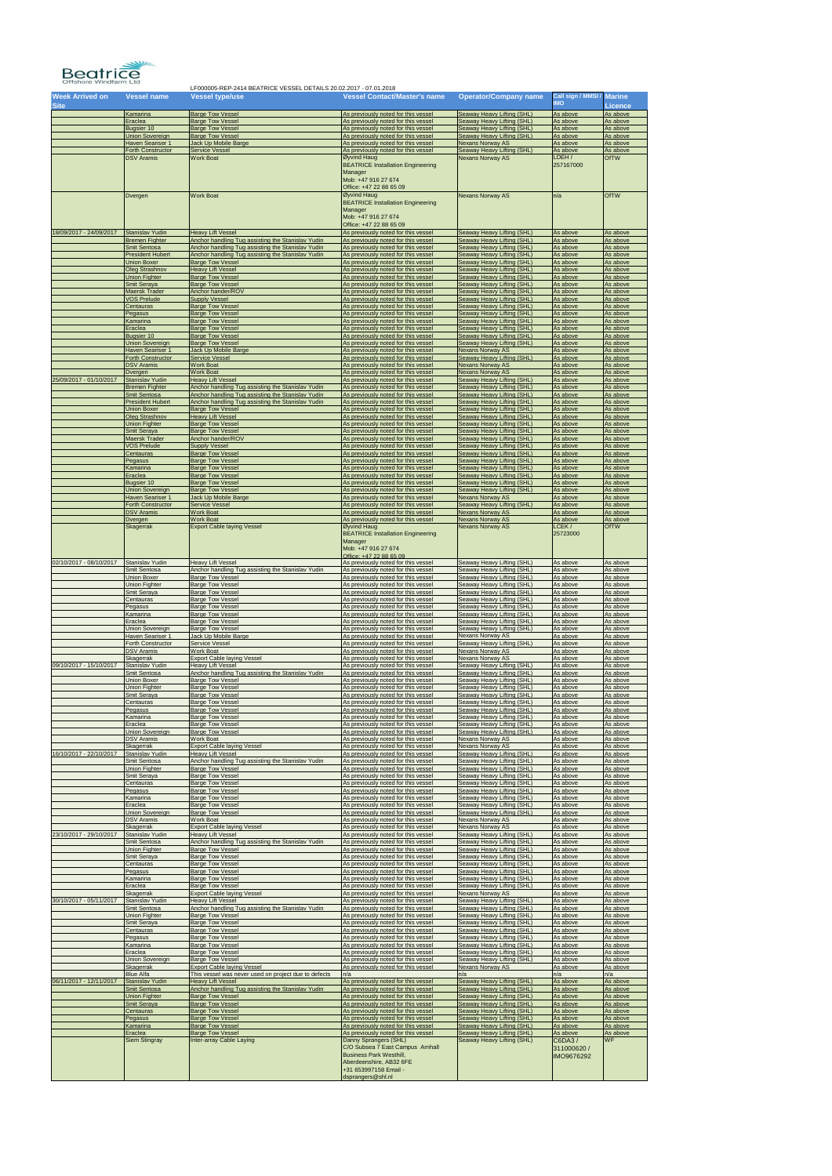

| <b>Week Arrived on</b><br><b>Site</b> | <b>Vessel name</b>                                                     | <b>Vessel type/use</b>                                                                                               | <b>Vessel Contact/Master's name</b>                                                                               | <b>Operator/Company name</b>                                                           | Call sign / MMSI /<br><b>IMO</b> | <b>Marine</b><br><b>Licence</b>  |
|---------------------------------------|------------------------------------------------------------------------|----------------------------------------------------------------------------------------------------------------------|-------------------------------------------------------------------------------------------------------------------|----------------------------------------------------------------------------------------|----------------------------------|----------------------------------|
|                                       | Kamarina                                                               | <b>Barge Tow Vessel</b>                                                                                              | As previously noted for this vessel                                                                               | Seaway Heavy Lifting (SHL)                                                             | As above                         | As above                         |
|                                       | Eraclea                                                                | <b>Barge Tow Vessel</b>                                                                                              | As previously noted for this vessel                                                                               | Seaway Heavy Lifting (SHL)                                                             | As above                         | As above                         |
|                                       | Bugsier 10                                                             | <b>Barge Tow Vessel</b>                                                                                              | As previously noted for this vessel                                                                               | Seaway Heavy Lifting (SHL)                                                             | As above                         | As above                         |
|                                       | <b>Union Sovereign</b>                                                 | <b>Barge Tow Vessel</b>                                                                                              | As previously noted for this vessel                                                                               | Seaway Heavy Lifting (SHL)                                                             | As above                         | As above                         |
|                                       | <b>Haven Seariser 1</b>                                                | Jack Up Mobile Barge                                                                                                 | As previously noted for this vessel                                                                               | <b>Nexans Norway AS</b>                                                                | As above                         | As above                         |
|                                       | <b>Forth Constructor</b>                                               | <b>Service Vessel</b>                                                                                                | As previously noted for this vessel                                                                               | Seaway Heavy Lifting (SHL)                                                             | As above                         | As above                         |
|                                       | <b>DSV Aramis</b>                                                      | <b>Work Boat</b>                                                                                                     | Øyvind Haug<br><b>BEATRICE Installation Engineering</b>                                                           | <b>Nexans Norway AS</b>                                                                | LDEH/<br>257167000               | <b>OfTW</b>                      |
|                                       |                                                                        |                                                                                                                      | Manager<br>Mob: +47 916 27 674                                                                                    |                                                                                        |                                  |                                  |
|                                       | Dvergen                                                                | <b>Work Boat</b>                                                                                                     | Office: +47 22 88 65 09<br>Øyvind Haug                                                                            | <b>Nexans Norway AS</b>                                                                | n/a                              | <b>OfTW</b>                      |
|                                       |                                                                        |                                                                                                                      | <b>BEATRICE Installation Engineering</b><br>Manager                                                               |                                                                                        |                                  |                                  |
|                                       |                                                                        |                                                                                                                      | Mob: +47 916 27 674<br>Office: +47 22 88 65 09                                                                    |                                                                                        |                                  |                                  |
| 18/09/2017 - 24/09/2017               | <b>Stanislav Yudin</b>                                                 | <b>Heavy Lift Vessel</b>                                                                                             | As previously noted for this vessel                                                                               | Seaway Heavy Lifting (SHL)                                                             | As above                         | As above                         |
|                                       | <b>Bremen Fighter</b>                                                  | Anchor handling Tug assisting the Stanislav Yudin                                                                    | As previously noted for this vessel                                                                               | Seaway Heavy Lifting (SHL)                                                             | As above                         | As above                         |
|                                       | Smit Sentosa                                                           | Anchor handling Tug assisting the Stanislav Yudin                                                                    | As previously noted for this vessel                                                                               | Seaway Heavy Lifting (SHL)                                                             | As above                         | As above                         |
|                                       | <b>President Hubert</b>                                                | Anchor handling Tug assisting the Stanislav Yudin                                                                    | As previously noted for this vessel                                                                               | Seaway Heavy Lifting (SHL)                                                             | As above                         | As above                         |
|                                       | <b>Union Boxer</b>                                                     | <b>Barge Tow Vessel</b>                                                                                              | As previously noted for this vessel                                                                               | Seaway Heavy Lifting (SHL)                                                             | As above                         | As above                         |
|                                       | <b>Oleg Strashnov</b>                                                  | <b>Heavy Lift Vessel</b>                                                                                             | As previously noted for this vessel                                                                               | Seaway Heavy Lifting (SHL)                                                             | As above                         | As above                         |
|                                       | <b>Union Fighter</b>                                                   | <b>Barge Tow Vessel</b>                                                                                              | As previously noted for this vessel                                                                               | Seaway Heavy Lifting (SHL)                                                             | As above                         | As above                         |
|                                       | Smit Seraya                                                            | <b>Barge Tow Vessel</b>                                                                                              | As previously noted for this vessel                                                                               | Seaway Heavy Lifting (SHL)                                                             | As above                         | As above                         |
|                                       | <b>Maersk Trader</b>                                                   | Anchor hander/ROV                                                                                                    | As previously noted for this vessel                                                                               | Seaway Heavy Lifting (SHL)                                                             | As above                         | As above                         |
|                                       | <b>VOS Prelude</b>                                                     | <b>Supply Vessel</b>                                                                                                 | As previously noted for this vessel                                                                               | Seaway Heavy Lifting (SHL)                                                             | As above                         | As above                         |
|                                       | Centauras                                                              | <b>Barge Tow Vessel</b>                                                                                              | As previously noted for this vessel                                                                               | Seaway Heavy Lifting (SHL)                                                             | As above                         | As above                         |
|                                       | Pegasus                                                                | <b>Barge Tow Vessel</b>                                                                                              | As previously noted for this vessel                                                                               | Seaway Heavy Lifting (SHL)                                                             | As above                         | As above                         |
|                                       | Kamarina                                                               | <b>Barge Tow Vessel</b>                                                                                              | As previously noted for this vessel                                                                               | Seaway Heavy Lifting (SHL)                                                             | As above                         | As above                         |
|                                       | Eraclea                                                                | <b>Barge Tow Vessel</b>                                                                                              | As previously noted for this vessel                                                                               | Seaway Heavy Lifting (SHL)                                                             | As above                         | As above                         |
|                                       | Bugsier 10                                                             | <b>Barge Tow Vessel</b>                                                                                              | As previously noted for this vessel                                                                               | Seaway Heavy Lifting (SHL)                                                             | As above                         | As above                         |
|                                       | <b>Union Sovereign</b>                                                 | <b>Barge Tow Vessel</b>                                                                                              | As previously noted for this vessel                                                                               | Seaway Heavy Lifting (SHL)                                                             | As above                         | As above                         |
|                                       | <b>Haven Seariser 1</b>                                                | Jack Up Mobile Barge                                                                                                 | As previously noted for this vessel                                                                               | <b>Nexans Norway AS</b>                                                                | As above                         | As above                         |
|                                       | <b>Forth Constructor</b>                                               | <b>Service Vessel</b>                                                                                                | As previously noted for this vessel                                                                               | Seaway Heavy Lifting (SHL)                                                             | As above                         | As above                         |
|                                       | <b>DSV Aramis</b>                                                      | <b>Work Boat</b>                                                                                                     | As previously noted for this vessel                                                                               | <b>Nexans Norway AS</b>                                                                | As above                         | As above                         |
| 25/09/2017 - 01/10/2017               | Dvergen                                                                | <b>Work Boat</b>                                                                                                     | As previously noted for this vessel                                                                               | <b>Nexans Norway AS</b>                                                                | As above                         | As above                         |
|                                       | <b>Stanislav Yudin</b>                                                 | <b>Heavy Lift Vessel</b>                                                                                             | As previously noted for this vessel                                                                               | Seaway Heavy Lifting (SHL)                                                             | As above                         | As above                         |
|                                       | <b>Bremen Fighter</b><br><b>Smit Sentosa</b>                           | Anchor handling Tug assisting the Stanislav Yudin<br>Anchor handling Tug assisting the Stanislav Yudin               | As previously noted for this vessel<br>As previously noted for this vessel                                        | Seaway Heavy Lifting (SHL)<br>Seaway Heavy Lifting (SHL)<br>Seaway Heavy Lifting (SHL) | As above<br>As above             | As above<br>As above             |
|                                       | <b>President Hubert</b><br><b>Union Boxer</b><br><b>Oleg Strashnov</b> | Anchor handling Tug assisting the Stanislav Yudin<br><b>Barge Tow Vessel</b><br><b>Heavy Lift Vessel</b>             | As previously noted for this vessel<br>As previously noted for this vessel<br>As previously noted for this vessel | Seaway Heavy Lifting (SHL)<br>Seaway Heavy Lifting (SHL)                               | As above<br>As above<br>As above | As above<br>As above<br>As above |
|                                       | <b>Union Fighter</b>                                                   | <b>Barge Tow Vessel</b>                                                                                              | As previously noted for this vessel                                                                               | Seaway Heavy Lifting (SHL)                                                             | As above                         | As above                         |
|                                       | Smit Seraya                                                            | <b>Barge Tow Vessel</b>                                                                                              | As previously noted for this vessel                                                                               | Seaway Heavy Lifting (SHL)                                                             | As above                         | As above                         |
|                                       | Maersk Trader                                                          | Anchor hander/ROV                                                                                                    | As previously noted for this vessel                                                                               | Seaway Heavy Lifting (SHL)                                                             | As above                         | As above                         |
|                                       | <b>VOS Prelude</b>                                                     | <b>Supply Vessel</b>                                                                                                 | As previously noted for this vessel                                                                               | Seaway Heavy Lifting (SHL)                                                             | As above                         | As above                         |
|                                       | Centauras                                                              | <b>Barge Tow Vessel</b>                                                                                              | As previously noted for this vessel                                                                               | Seaway Heavy Lifting (SHL)                                                             | As above                         | As above                         |
|                                       | Pegasus                                                                | <b>Barge Tow Vessel</b>                                                                                              | As previously noted for this vessel                                                                               | Seaway Heavy Lifting (SHL)                                                             | As above                         | As above                         |
|                                       | Kamarina                                                               | <b>Barge Tow Vessel</b>                                                                                              | As previously noted for this vessel                                                                               | Seaway Heavy Lifting (SHL)                                                             | As above                         | As above                         |
|                                       | Eraclea                                                                | <b>Barge Tow Vessel</b>                                                                                              | As previously noted for this vessel                                                                               | Seaway Heavy Lifting (SHL)                                                             | As above                         | As above                         |
|                                       | Bugsier 10                                                             | <b>Barge Tow Vessel</b>                                                                                              | As previously noted for this vessel                                                                               | Seaway Heavy Lifting (SHL)                                                             | As above                         | As above                         |
|                                       | <b>Union Sovereign</b>                                                 | <b>Barge Tow Vessel</b>                                                                                              | As previously noted for this vessel                                                                               | Seaway Heavy Lifting (SHL)                                                             | As above                         | As above                         |
|                                       | Haven Seariser 1                                                       | Jack Up Mobile Barge                                                                                                 | As previously noted for this vessel                                                                               | <b>Nexans Norway AS</b>                                                                | As above                         | As above                         |
|                                       | <b>Forth Constructor</b>                                               | <b>Service Vessel</b>                                                                                                | As previously noted for this vessel                                                                               | Seaway Heavy Lifting (SHL)                                                             | As above                         | As above                         |
|                                       | <b>DSV Aramis</b>                                                      | <b>Work Boat</b>                                                                                                     | As previously noted for this vessel                                                                               | <b>Nexans Norway AS</b>                                                                | As above                         | As above                         |
|                                       | Dvergen                                                                | <b>Work Boat</b>                                                                                                     | As previously noted for this vessel                                                                               | <b>Nexans Norway AS</b>                                                                | As above                         | As above                         |
|                                       | Skagerrak                                                              | <b>Export Cable laying Vessel</b>                                                                                    | Øyvind Haug<br><b>BEATRICE Installation Engineering</b>                                                           | <b>Nexans Norway AS</b>                                                                | LCEK/<br>25723000                | <b>OfTW</b>                      |
|                                       |                                                                        |                                                                                                                      | Manager<br>Mob: +47 916 27 674<br>Office: +47 22 88 65 09                                                         |                                                                                        |                                  |                                  |
| 02/10/2017 - 08/10/2017               | Stanislav Yudin                                                        | <b>Heavy Lift Vessel</b>                                                                                             | As previously noted for this vessel                                                                               | Seaway Heavy Lifting (SHL)                                                             | As above                         | As above                         |
|                                       | Smit Sentosa                                                           | Anchor handling Tug assisting the Stanislav Yudin                                                                    | As previously noted for this vessel                                                                               | Seaway Heavy Lifting (SHL)                                                             | As above                         | As above                         |
|                                       | Union Boxer                                                            | <b>Barge Tow Vessel</b>                                                                                              | As previously noted for this vessel                                                                               | Seaway Heavy Lifting (SHL)                                                             | As above                         | As above                         |
|                                       | <b>Union Fighter</b>                                                   | <b>Barge Tow Vessel</b>                                                                                              | As previously noted for this vessel                                                                               | Seaway Heavy Lifting (SHL)                                                             | As above                         | As above                         |
|                                       | Smit Seraya                                                            | <b>Barge Tow Vessel</b>                                                                                              | As previously noted for this vessel                                                                               | Seaway Heavy Lifting (SHL)                                                             | As above                         | As above                         |
|                                       | Centauras                                                              | <b>Barge Tow Vessel</b>                                                                                              | As previously noted for this vessel                                                                               | Seaway Heavy Lifting (SHL)                                                             | As above                         | As above                         |
|                                       | Pegasus                                                                | <b>Barge Tow Vessel</b>                                                                                              | As previously noted for this vessel                                                                               | Seaway Heavy Lifting (SHL)                                                             | As above                         | As above                         |
|                                       | Kamarina                                                               | <b>Barge Tow Vessel</b>                                                                                              | As previously noted for this vessel                                                                               | Seaway Heavy Lifting (SHL)                                                             | As above                         | As above                         |
|                                       | Eraclea                                                                | <b>Barge Tow Vessel</b>                                                                                              | As previously noted for this vessel                                                                               | Seaway Heavy Lifting (SHL)                                                             | As above                         | As above                         |
|                                       | Union Sovereign                                                        | <b>Barge Tow Vessel</b>                                                                                              | As previously noted for this vessel                                                                               | Seaway Heavy Lifting (SHL)                                                             | As above                         | As above                         |
|                                       | <b>Haven Seariser 1</b>                                                | Jack Up Mobile Barge                                                                                                 | As previously noted for this vessel                                                                               | <b>Nexans Norway AS</b>                                                                | As above                         | As above                         |
|                                       | <b>Forth Constructor</b>                                               | Service Vessel                                                                                                       | As previously noted for this vessel                                                                               | Seaway Heavy Lifting (SHL)                                                             | As above                         | As above                         |
|                                       | <b>DSV Aramis</b>                                                      | <b>Work Boat</b>                                                                                                     | As previously noted for this vessel                                                                               | <b>Nexans Norway AS</b>                                                                | As above                         | As above                         |
|                                       | <b>Skagerrak</b>                                                       | <b>Export Cable laying Vessel</b>                                                                                    | As previously noted for this vessel                                                                               | <b>Nexans Norway AS</b>                                                                | As above                         | As above                         |
| 09/10/2017 - 15/10/2017               | <b>Stanislav Yudin</b>                                                 | <b>Heavy Lift Vessel</b>                                                                                             | As previously noted for this vessel                                                                               | Seaway Heavy Lifting (SHL)                                                             | As above                         | As above                         |
|                                       | Smit Sentosa                                                           | Anchor handling Tug assisting the Stanislav Yudin                                                                    | As previously noted for this vessel                                                                               | Seaway Heavy Lifting (SHL)                                                             | As above                         | As above                         |
|                                       | <b>Union Boxer</b>                                                     | <b>Barge Tow Vessel</b>                                                                                              | As previously noted for this vessel                                                                               | Seaway Heavy Lifting (SHL)                                                             | As above                         | As above                         |
|                                       | Union Fighter                                                          | <b>Barge Tow Vessel</b>                                                                                              | As previously noted for this vessel                                                                               | Seaway Heavy Lifting (SHL)                                                             | As above                         | As above                         |
|                                       | Smit Seraya                                                            | <b>Barge Tow Vessel</b>                                                                                              | As previously noted for this vessel                                                                               | Seaway Heavy Lifting (SHL)                                                             | As above                         | As above                         |
|                                       | Centauras                                                              | <b>Barge Tow Vessel</b>                                                                                              | As previously noted for this vessel                                                                               | Seaway Heavy Lifting (SHL)                                                             | As above                         | As above                         |
|                                       | Pegasus                                                                | <b>Barge Tow Vessel</b>                                                                                              | As previously noted for this vessel                                                                               | Seaway Heavy Lifting (SHL)                                                             | As above                         | As above                         |
|                                       | Kamarina                                                               | <b>Barge Tow Vessel</b>                                                                                              | As previously noted for this vessel                                                                               | Seaway Heavy Lifting (SHL)                                                             | As above                         | As above                         |
|                                       | Eraclea                                                                | <b>Barge Tow Vessel</b>                                                                                              | As previously noted for this vessel                                                                               | Seaway Heavy Lifting (SHL)                                                             | As above                         | As above                         |
|                                       | Union Sovereign                                                        | <b>Barge Tow Vessel</b>                                                                                              | As previously noted for this vessel                                                                               | Seaway Heavy Lifting (SHL)                                                             | As above                         | As above                         |
|                                       | <b>DSV Aramis</b>                                                      | <b>Work Boat</b>                                                                                                     | As previously noted for this vessel                                                                               | <b>Nexans Norway AS</b>                                                                | As above                         | As above                         |
| 16/10/2017 - 22/10/2017               | Skagerrak                                                              | <b>Export Cable laying Vessel</b>                                                                                    | As previously noted for this vessel                                                                               | <b>Nexans Norway AS</b>                                                                | As above                         | As above                         |
|                                       | Stanislav Yudin                                                        | <b>Heavy Lift Vessel</b>                                                                                             | As previously noted for this vessel                                                                               | Seaway Heavy Lifting (SHL)                                                             | As above                         | As above                         |
|                                       | Smit Sentosa                                                           | Anchor handling Tug assisting the Stanislav Yudin                                                                    | As previously noted for this vessel                                                                               | Seaway Heavy Lifting (SHL)                                                             | As above                         | As above                         |
|                                       | <b>Union Fighter</b>                                                   | <b>Barge Tow Vessel</b>                                                                                              | As previously noted for this vessel                                                                               | Seaway Heavy Lifting (SHL)                                                             | As above                         | As above                         |
|                                       | Smit Seraya                                                            | <b>Barge Tow Vessel</b>                                                                                              | As previously noted for this vessel                                                                               | Seaway Heavy Lifting (SHL)                                                             | As above                         | As above                         |
|                                       | Centauras                                                              | <b>Barge Tow Vessel</b>                                                                                              | As previously noted for this vessel                                                                               | Seaway Heavy Lifting (SHL)                                                             | As above                         | As above                         |
|                                       | Pegasus                                                                | <b>Barge Tow Vessel</b>                                                                                              | As previously noted for this vessel                                                                               | Seaway Heavy Lifting (SHL)                                                             | As above                         | As above                         |
|                                       | Kamarina                                                               | <b>Barge Tow Vessel</b>                                                                                              | As previously noted for this vessel                                                                               | Seaway Heavy Lifting (SHL)                                                             | As above                         | As above                         |
|                                       | Eraclea                                                                | <b>Barge Tow Vessel</b>                                                                                              | As previously noted for this vessel                                                                               | Seaway Heavy Lifting (SHL)                                                             | As above                         | As above                         |
|                                       | Union Sovereign                                                        | <b>Barge Tow Vessel</b>                                                                                              | As previously noted for this vessel                                                                               | Seaway Heavy Lifting (SHL)                                                             | As above                         | As above                         |
|                                       | <b>DSV Aramis</b>                                                      | <b>Work Boat</b>                                                                                                     | As previously noted for this vessel                                                                               | <b>Nexans Norway AS</b>                                                                | As above                         | As above                         |
| 23/10/2017 - 29/10/2017               | Skagerrak                                                              | <b>Export Cable laying Vessel</b>                                                                                    | As previously noted for this vessel                                                                               | <b>Nexans Norway AS</b>                                                                | As above                         | As above                         |
|                                       | Stanislav Yudin                                                        | <b>Heavy Lift Vessel</b>                                                                                             | As previously noted for this vessel                                                                               | Seaway Heavy Lifting (SHL)                                                             | As above                         | As above                         |
|                                       | Smit Sentosa                                                           | Anchor handling Tug assisting the Stanislav Yudin                                                                    | As previously noted for this vessel                                                                               | Seaway Heavy Lifting (SHL)                                                             | As above                         | As above                         |
|                                       | Union Fighter                                                          | <b>Barge Tow Vessel</b>                                                                                              | As previously noted for this vessel                                                                               | Seaway Heavy Lifting (SHL)                                                             | As above                         | As above                         |
|                                       | Smit Seraya                                                            | <b>Barge Tow Vessel</b>                                                                                              | As previously noted for this vessel                                                                               | Seaway Heavy Lifting (SHL)                                                             | As above                         | As above                         |
|                                       | Centauras                                                              | <b>Barge Tow Vessel</b>                                                                                              | As previously noted for this vessel                                                                               | Seaway Heavy Lifting (SHL)                                                             | As above                         | As above                         |
|                                       | Pegasus                                                                | <b>Barge Tow Vessel</b>                                                                                              | As previously noted for this vessel                                                                               | Seaway Heavy Lifting (SHL)                                                             | As above                         | As above                         |
|                                       | Kamarina                                                               | <b>Barge Tow Vessel</b>                                                                                              | As previously noted for this vessel                                                                               | Seaway Heavy Lifting (SHL)                                                             | As above                         | As above                         |
|                                       | Eraclea                                                                | <b>Barge Tow Vessel</b>                                                                                              | As previously noted for this vessel                                                                               | Seaway Heavy Lifting (SHL)                                                             | As above                         | As above                         |
|                                       | Skagerrak                                                              | <b>Export Cable laying Vessel</b>                                                                                    | As previously noted for this vessel                                                                               | <b>Nexans Norway AS</b>                                                                | As above                         | As above                         |
| 30/10/2017 - 05/11/2017               | Stanislav Yudin                                                        | <b>Heavy Lift Vessel</b>                                                                                             | As previously noted for this vessel                                                                               | Seaway Heavy Lifting (SHL)                                                             | As above                         | As above                         |
|                                       | Smit Sentosa                                                           | Anchor handling Tug assisting the Stanislav Yudin                                                                    | As previously noted for this vessel                                                                               | Seaway Heavy Lifting (SHL)                                                             | As above                         | As above                         |
|                                       | Union Fighter                                                          | <b>Barge Tow Vessel</b>                                                                                              | As previously noted for this vessel                                                                               | Seaway Heavy Lifting (SHL)                                                             | As above                         | As above                         |
|                                       | Smit Seraya                                                            | <b>Barge Tow Vessel</b>                                                                                              | As previously noted for this vessel                                                                               | Seaway Heavy Lifting (SHL)                                                             | As above                         | As above                         |
|                                       | Centauras                                                              | <b>Barge Tow Vessel</b>                                                                                              | As previously noted for this vessel                                                                               | Seaway Heavy Lifting (SHL)                                                             | As above                         | As above                         |
|                                       | Pegasus                                                                | <b>Barge Tow Vessel</b>                                                                                              | As previously noted for this vessel                                                                               | Seaway Heavy Lifting (SHL)                                                             | As above                         | As above                         |
|                                       | Kamarina                                                               | <b>Barge Tow Vessel</b>                                                                                              | As previously noted for this vessel                                                                               | Seaway Heavy Lifting (SHL)                                                             | As above                         | As above                         |
|                                       | Eraclea                                                                | <b>Barge Tow Vessel</b>                                                                                              | As previously noted for this vessel                                                                               | Seaway Heavy Lifting (SHL)                                                             | As above                         | As above                         |
|                                       | Union Sovereign<br>Skagerrak                                           | <b>Barge Tow Vessel</b><br><b>Export Cable laying Vessel</b><br>This vessel was never used on project due to defects | As previously noted for this vessel<br>As previously noted for this vessel                                        | Seaway Heavy Lifting (SHL)<br><b>Nexans Norway AS</b>                                  | As above<br>As above             | As above<br>As above             |
| 06/11/2017 - 12/11/2017               | <b>Blue Alfa</b><br>Stanislav Yudin<br>Smit Sentosa                    | <b>Heavy Lift Vessel</b><br>Anchor handling Tug assisting the Stanislav Yudin                                        | n/a<br>As previously noted for this vessel<br>As previously noted for this vessel                                 | n/a<br>Seaway Heavy Lifting (SHL)<br>Seaway Heavy Lifting (SHL)                        | n/a<br>As above<br>As above      | n/a<br>As above<br>As above      |
|                                       | <b>Union Fighter</b>                                                   | <b>Barge Tow Vessel</b>                                                                                              | As previously noted for this vessel                                                                               | Seaway Heavy Lifting (SHL)                                                             | As above                         | As above                         |
|                                       | Smit Seraya                                                            | <b>Barge Tow Vessel</b>                                                                                              | As previously noted for this vessel                                                                               | Seaway Heavy Lifting (SHL)                                                             | As above                         | As above                         |
|                                       | Centauras                                                              | <b>Barge Tow Vessel</b>                                                                                              | As previously noted for this vessel                                                                               | Seaway Heavy Lifting (SHL)                                                             | As above                         | As above                         |
|                                       | Pegasus                                                                | <b>Barge Tow Vessel</b>                                                                                              | As previously noted for this vessel                                                                               | Seaway Heavy Lifting (SHL)                                                             | As above                         | As above                         |
|                                       | Kamarina                                                               | <b>Barge Tow Vessel</b>                                                                                              | As previously noted for this vessel                                                                               | Seaway Heavy Lifting (SHL)                                                             | As above                         | As above                         |
|                                       | Eraclea                                                                | <b>Barge Tow Vessel</b>                                                                                              | As previously noted for this vessel                                                                               | Seaway Heavy Lifting (SHL)                                                             | As above                         | As above                         |
|                                       | <b>Siem Stingray</b>                                                   | Inter-array Cable Laying                                                                                             | Danny Sprangers (SHL)<br>C/O Subsea 7 East Campus Arnhall                                                         | Seaway Heavy Lifting (SHL)                                                             | CO <sub>1</sub><br>311000620 /   | <b>WF</b>                        |
|                                       |                                                                        |                                                                                                                      | <b>Business Park Westhill,</b><br>Aberdeenshire, AB32 6FE<br>+31 653997158 Email -<br>dsprangers@shl.nl           |                                                                                        | IMO9676292                       |                                  |